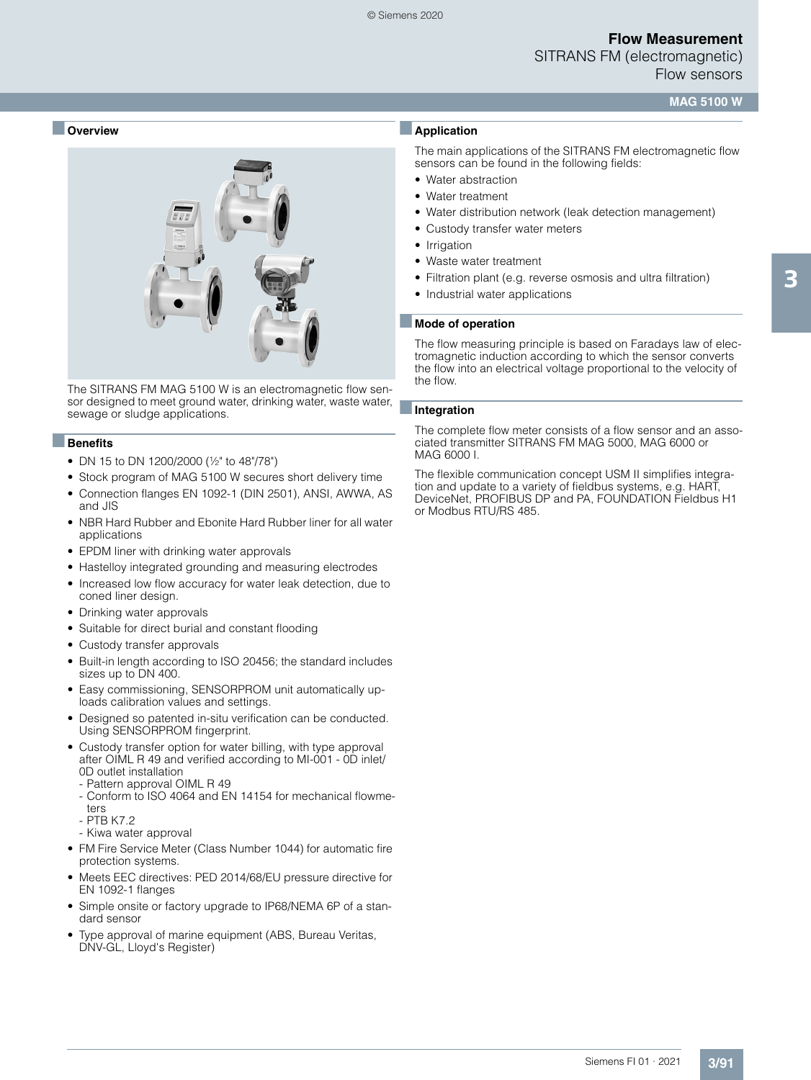SITRANS FM (electromagnetic) Flow sensors

### **MAG 5100 W**

### ■ **Overview**



The SITRANS FM MAG 5100 W is an electromagnetic flow sensor designed to meet ground water, drinking water, waste water, sewage or sludge applications.

#### ■**Benefits**

- DN 15 to DN 1200/2000 (½" to 48"/78")
- Stock program of MAG 5100 W secures short delivery time
- Connection flanges EN 1092-1 (DIN 2501), ANSI, AWWA, AS and JIS
- NBR Hard Rubber and Ebonite Hard Rubber liner for all water applications
- EPDM liner with drinking water approvals
- Hastelloy integrated grounding and measuring electrodes
- Increased low flow accuracy for water leak detection, due to coned liner design.
- Drinking water approvals
- Suitable for direct burial and constant flooding
- Custody transfer approvals
- Built-in length according to ISO 20456; the standard includes sizes up to DN 400.
- Easy commissioning, SENSORPROM unit automatically uploads calibration values and settings.
- Designed so patented in-situ verification can be conducted. Using SENSORPROM fingerprint.
- Custody transfer option for water billing, with type approval after OIML R 49 and verified according to MI-001 - 0D inlet/ 0D outlet installation
	- Pattern approval OIML R 49
	- Conform to ISO 4064 and EN 14154 for mechanical flowmeters
	- PTB K7.2
	- Kiwa water approval
- FM Fire Service Meter (Class Number 1044) for automatic fire protection systems.
- Meets EEC directives: PED 2014/68/EU pressure directive for EN 1092-1 flanges
- Simple onsite or factory upgrade to IP68/NEMA 6P of a standard sensor
- Type approval of marine equipment (ABS, Bureau Veritas, DNV-GL, Lloyd's Register)

### ■**Application**

The main applications of the SITRANS FM electromagnetic flow sensors can be found in the following fields:

- Water abstraction
- Water treatment
- Water distribution network (leak detection management)
- Custody transfer water meters
- Irrigation
- Waste water treatment
- Filtration plant (e.g. reverse osmosis and ultra filtration)
- Industrial water applications

#### ■ **Mode of operation**

The flow measuring principle is based on Faradays law of electromagnetic induction according to which the sensor converts the flow into an electrical voltage proportional to the velocity of the flow.

#### ■**Integration**

The complete flow meter consists of a flow sensor and an associated transmitter SITRANS FM MAG 5000, MAG 6000 or MAG 6000 I.

The flexible communication concept USM II simplifies integration and update to a variety of fieldbus systems, e.g. HART, DeviceNet, PROFIBUS DP and PA, FOUNDATION Fieldbus H1 or Modbus RTU/RS 485.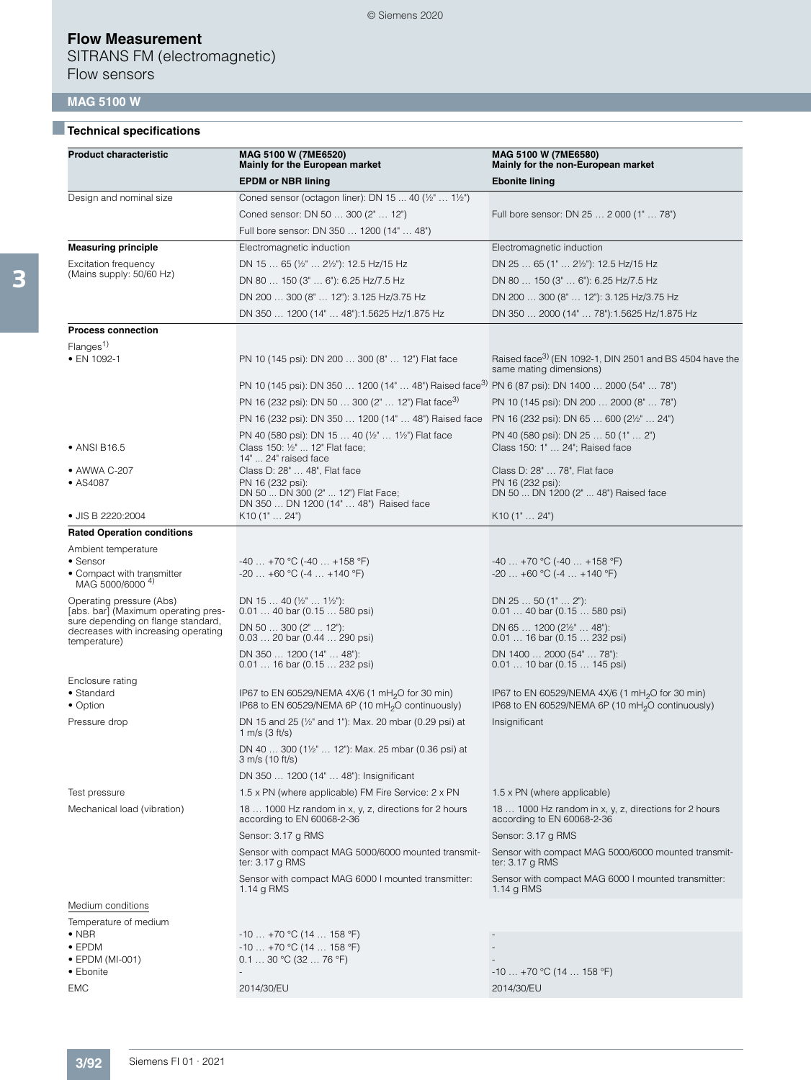SITRANS FM (electromagnetic) Flow sensors

# **MAG 5100 W**

# ■**Technical specifications**

| <b>Product characteristic</b>                                                             | MAG 5100 W (7ME6520)<br>Mainly for the European market                                                        | MAG 5100 W (7ME6580)<br>Mainly for the non-European market                                    |
|-------------------------------------------------------------------------------------------|---------------------------------------------------------------------------------------------------------------|-----------------------------------------------------------------------------------------------|
|                                                                                           | <b>EPDM or NBR lining</b>                                                                                     | <b>Ebonite lining</b>                                                                         |
| Design and nominal size                                                                   | Coned sensor (octagon liner): DN 15  40 (1/2"  11/2")                                                         |                                                                                               |
|                                                                                           | Coned sensor: DN 50  300 (2"  12")                                                                            | Full bore sensor: DN 25  2 000 (1"  78")                                                      |
|                                                                                           | Full bore sensor: DN 350  1200 (14"  48")                                                                     |                                                                                               |
| <b>Measuring principle</b>                                                                | Electromagnetic induction                                                                                     | Electromagnetic induction                                                                     |
| <b>Excitation frequency</b>                                                               | DN 15  65 (1/2"  21/2"): 12.5 Hz/15 Hz                                                                        | DN 25  65 (1"  21/2"): 12.5 Hz/15 Hz                                                          |
| (Mains supply: 50/60 Hz)                                                                  | DN 80  150 (3"  6"): 6.25 Hz/7.5 Hz                                                                           | DN 80  150 (3"  6"): 6.25 Hz/7.5 Hz                                                           |
|                                                                                           | DN 200  300 (8"  12"): 3.125 Hz/3.75 Hz                                                                       | DN 200  300 (8"  12"): 3.125 Hz/3.75 Hz                                                       |
|                                                                                           | DN 350  1200 (14"  48"):1.5625 Hz/1.875 Hz                                                                    | DN 350  2000 (14"  78"):1.5625 Hz/1.875 Hz                                                    |
| <b>Process connection</b>                                                                 |                                                                                                               |                                                                                               |
| Flanges <sup>1)</sup>                                                                     |                                                                                                               |                                                                                               |
| • EN 1092-1                                                                               | PN 10 (145 psi): DN 200  300 (8"  12") Flat face                                                              | Raised face <sup>3</sup> (EN 1092-1, DIN 2501 and BS 4504 have the<br>same mating dimensions) |
|                                                                                           | PN 10 (145 psi): DN 350  1200 (14"  48") Raised face <sup>3)</sup> PN 6 (87 psi): DN 1400  2000 (54"  78")    |                                                                                               |
|                                                                                           | PN 16 (232 psi): DN 50  300 (2"  12") Flat face <sup>3)</sup>                                                 | PN 10 (145 psi): DN 200  2000 (8"  78")                                                       |
|                                                                                           | PN 16 (232 psi): DN 350  1200 (14"  48") Raised face                                                          | PN 16 (232 psi): DN 65  600 (2½"  24")                                                        |
| • ANSI B16.5                                                                              | PN 40 (580 psi): DN 15  40 (1/2"  11/2") Flat face<br>Class 150: 1/2"  12" Flat face;<br>14"  24" raised face | PN 40 (580 psi): DN 25  50 (1"  2")<br>Class 150: 1"  24"; Raised face                        |
| • AWWA C-207                                                                              | Class D: 28"  48", Flat face                                                                                  | Class D: 28"  78", Flat face                                                                  |
| • AS4087                                                                                  | PN 16 (232 psi):                                                                                              | PN 16 (232 psi):                                                                              |
|                                                                                           | DN 50  DN 300 (2"  12") Flat Face;<br>DN 350  DN 1200 (14"  48") Raised face                                  | DN 50  DN 1200 (2"  48") Raised face                                                          |
| • JIS B 2220:2004                                                                         | $K10$ (1"  24")                                                                                               | K10(1"  24")                                                                                  |
| <b>Rated Operation conditions</b>                                                         |                                                                                                               |                                                                                               |
| Ambient temperature                                                                       |                                                                                                               |                                                                                               |
| • Sensor<br>• Compact with transmitter<br>MAG 5000/6000 <sup>4)</sup>                     | $-40+70$ °C (-40  +158 °F)<br>$-20+60$ °C ( $-4+140$ °F)                                                      | $-40$ +70 °C (-40  +158 °F)<br>$-20$ $+60$ °C ( $-4$ $+140$ °F)                               |
| Operating pressure (Abs)<br>[abs. bar] (Maximum operating pres-                           | DN 15  40 ( $\frac{1}{2}$ "  1 $\frac{1}{2}$ "):<br>$0.0140$ bar $(0.15580$ psi)                              | DN $2550(1"2")$ :<br>$0.0140$ bar $(0.15580$ psi)                                             |
| sure depending on flange standard,<br>decreases with increasing operating<br>temperature) | DN 50 $\dots$ 300 (2" $\dots$ 12"):<br>$0.03$ 20 bar $(0.44$ 290 psi)                                         | DN 65 $\dots$ 1200 (2 $\frac{1}{2}$ " $\dots$ 48"):<br>$0.0116$ bar $(0.15232$ psi)           |
|                                                                                           | DN 350  1200 (14"  48"):<br>0.01  16 bar (0.15  232 psi)                                                      | DN 1400  2000 (54"  78"):<br>$0.0110$ bar $(0.15145$ psi)                                     |
| Enclosure rating<br>• Standard                                                            | IP67 to EN 60529/NEMA 4X/6 (1 mH <sub>2</sub> O for 30 min)                                                   | IP67 to EN 60529/NEMA 4X/6 (1 mH <sub>2</sub> O for 30 min)                                   |
| • Option                                                                                  | IP68 to EN 60529/NEMA 6P (10 mH <sub>2</sub> O continuously)                                                  | IP68 to EN 60529/NEMA 6P (10 mH <sub>2</sub> O continuously)                                  |
| Pressure drop                                                                             | DN 15 and 25 (1/2" and 1"): Max. 20 mbar (0.29 psi) at<br>1 m/s $(3 \text{ ft/s})$                            | Insignificant                                                                                 |
|                                                                                           | DN 40  300 (11/2"  12"): Max. 25 mbar (0.36 psi) at<br>3 m/s (10 ft/s)                                        |                                                                                               |
|                                                                                           | DN 350  1200 (14"  48"): Insignificant                                                                        |                                                                                               |
| Test pressure                                                                             | 1.5 x PN (where applicable) FM Fire Service: 2 x PN                                                           | $1.5 \times PN$ (where applicable)                                                            |
| Mechanical load (vibration)                                                               | 18  1000 Hz random in x, y, z, directions for 2 hours<br>according to EN 60068-2-36                           | 18  1000 Hz random in x, y, z, directions for 2 hours<br>according to EN 60068-2-36           |
|                                                                                           | Sensor: 3.17 g RMS                                                                                            | Sensor: 3.17 g RMS                                                                            |
|                                                                                           | Sensor with compact MAG 5000/6000 mounted transmit-<br>ter: 3.17 g RMS                                        | Sensor with compact MAG 5000/6000 mounted transmit-<br>ter: 3.17 g RMS                        |
|                                                                                           | Sensor with compact MAG 6000 I mounted transmitter:<br>1.14 g RMS                                             | Sensor with compact MAG 6000 I mounted transmitter:<br>1.14 $q$ RMS                           |
| Medium conditions                                                                         |                                                                                                               |                                                                                               |
| Temperature of medium                                                                     |                                                                                                               |                                                                                               |
| $\bullet$ NBR<br>$\bullet$ EPDM                                                           | $-10 + 70$ °C (14  158 °F)                                                                                    |                                                                                               |
| • EPDM (MI-001)                                                                           | $-10 + 70$ °C (14  158 °F)<br>$0.130$ °C (32  76 °F)                                                          |                                                                                               |
| • Ebonite                                                                                 |                                                                                                               | $-10$ +70 °C (14  158 °F)                                                                     |
| <b>EMC</b>                                                                                | 2014/30/EU                                                                                                    | 2014/30/EU                                                                                    |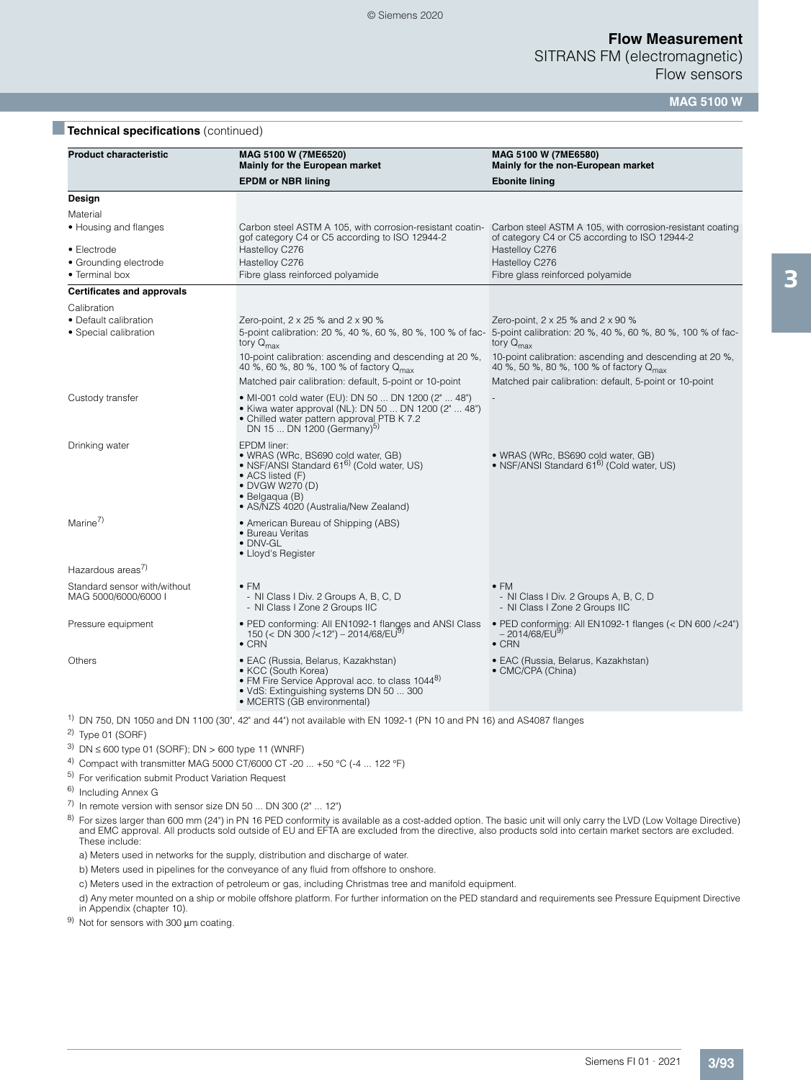SITRANS FM (electromagnetic) Flow sensors

**MAG 5100 W**

### **Technical specifications** (continued)

| <b>Product characteristic</b>                          | MAG 5100 W (7ME6520)<br>Mainly for the European market                                                                                                                                                       | MAG 5100 W (7ME6580)<br>Mainly for the non-European market                                                                                                                                        |
|--------------------------------------------------------|--------------------------------------------------------------------------------------------------------------------------------------------------------------------------------------------------------------|---------------------------------------------------------------------------------------------------------------------------------------------------------------------------------------------------|
|                                                        | <b>EPDM or NBR lining</b>                                                                                                                                                                                    | <b>Ebonite lining</b>                                                                                                                                                                             |
| Design                                                 |                                                                                                                                                                                                              |                                                                                                                                                                                                   |
| Material<br>• Housing and flanges                      | Carbon steel ASTM A 105, with corrosion-resistant coatin-<br>gof category C4 or C5 according to ISO 12944-2                                                                                                  | Carbon steel ASTM A 105, with corrosion-resistant coating<br>of category C4 or C5 according to ISO 12944-2                                                                                        |
| • Electrode<br>• Grounding electrode<br>• Terminal box | Hastelloy C276<br>Hastelloy C276<br>Fibre glass reinforced polyamide                                                                                                                                         | Hastelloy C276<br>Hastelloy C276<br>Fibre glass reinforced polyamide                                                                                                                              |
| <b>Certificates and approvals</b>                      |                                                                                                                                                                                                              |                                                                                                                                                                                                   |
| Calibration                                            |                                                                                                                                                                                                              |                                                                                                                                                                                                   |
| • Default calibration<br>• Special calibration         | Zero-point, $2 \times 25$ % and $2 \times 90$ %<br>tory $Q_{\text{max}}$                                                                                                                                     | Zero-point, $2 \times 25$ % and $2 \times 90$ %<br>5-point calibration: 20 %, 40 %, 60 %, 80 %, 100 % of fac- 5-point calibration: 20 %, 40 %, 60 %, 80 %, 100 % of fac-<br>tory $Q_{\text{max}}$ |
|                                                        | 10-point calibration: ascending and descending at 20 %,<br>40 %, 60 %, 80 %, 100 % of factory Q <sub>max</sub>                                                                                               | 10-point calibration: ascending and descending at 20 %,<br>40 %, 50 %, 80 %, 100 % of factory Q <sub>max</sub>                                                                                    |
|                                                        | Matched pair calibration: default, 5-point or 10-point                                                                                                                                                       | Matched pair calibration: default, 5-point or 10-point                                                                                                                                            |
| Custody transfer                                       | • MI-001 cold water (EU): DN 50  DN 1200 (2"  48")<br>• Kiwa water approval (NL): DN 50  DN 1200 (2"  48")<br>• Chilled water pattern approval PTB K 7.2<br>DN 15  DN 1200 (Germany) <sup>5)</sup>           |                                                                                                                                                                                                   |
| Drinking water                                         | EPDM liner:<br>• WRAS (WRc, BS690 cold water, GB)<br>• NSF/ANSI Standard 61 <sup>6)</sup> (Cold water, US)<br>• ACS listed (F)<br>• DVGW W270 (D)<br>• Belgaqua (B)<br>• AS/NZS 4020 (Australia/New Zealand) | • WRAS (WRc, BS690 cold water, GB)<br>• NSF/ANSI Standard 61 <sup>6)</sup> (Cold water, US)                                                                                                       |
| Marine <sup>7)</sup>                                   | • American Bureau of Shipping (ABS)<br>• Bureau Veritas<br>· DNV-GL<br>• Lloyd's Register                                                                                                                    |                                                                                                                                                                                                   |
| Hazardous areas <sup>7)</sup>                          |                                                                                                                                                                                                              |                                                                                                                                                                                                   |
| Standard sensor with/without<br>MAG 5000/6000/6000 I   | $\bullet$ FM<br>- NI Class I Div. 2 Groups A, B, C, D<br>- NI Class I Zone 2 Groups IIC                                                                                                                      | $\bullet$ FM<br>- NI Class I Div. 2 Groups A, B, C, D<br>- NI Class I Zone 2 Groups IIC                                                                                                           |
| Pressure equipment                                     | • PED conforming: All EN1092-1 flanges and ANSI Class<br>150 (< DN 300 / < 12") - 2014/68/EU9)<br>$\bullet$ CRN                                                                                              | • PED conforming: All EN1092-1 flanges (< DN 600 /<24")<br>$-2014/68$ /EU <sup>9)</sup><br>$\bullet$ CRN                                                                                          |
| Others                                                 | • EAC (Russia, Belarus, Kazakhstan)<br>• KCC (South Korea)<br>• FM Fire Service Approval acc. to class 1044 <sup>8)</sup><br>. VdS: Extinguishing systems DN 50  300<br>• MCERTS (GB environmental)          | • EAC (Russia, Belarus, Kazakhstan)<br>• CMC/CPA (China)                                                                                                                                          |
|                                                        | $^{1}$ DN 750, DN 1050 and DN 1100 (30", 42" and 44") not available with EN 1092-1 (PN 10 and PN 16) and AS4087 flanges                                                                                      |                                                                                                                                                                                                   |

 $2)$  Type 01 (SORF)

- $3)$  DN ≤ 600 type 01 (SORF); DN > 600 type 11 (WNRF)
- 4) Compact with transmitter MAG 5000 CT/6000 CT -20 ... +50 °C (-4 ... 122 °F)
- 5) For verification submit Product Variation Request
- 6) Including Annex G
- $\overline{7}$ ) In remote version with sensor size DN 50 ... DN 300 (2" ... 12")
- <sup>8)</sup> For sizes larger than 600 mm (24") in PN 16 PED conformity is available as a cost-added option. The basic unit will only carry the LVD (Low Voltage Directive) and EMC approval. All products sold outside of EU and EFTA These include:
- a) Meters used in networks for the supply, distribution and discharge of water.
- b) Meters used in pipelines for the conveyance of any fluid from offshore to onshore.
- c) Meters used in the extraction of petroleum or gas, including Christmas tree and manifold equipment.
- d) Any meter mounted on a ship or mobile offshore platform. For further information on the PED standard and requirements see Pressure Equipment Directive in Appendix (chapter 10).
- 9) Not for sensors with 300 μm coating.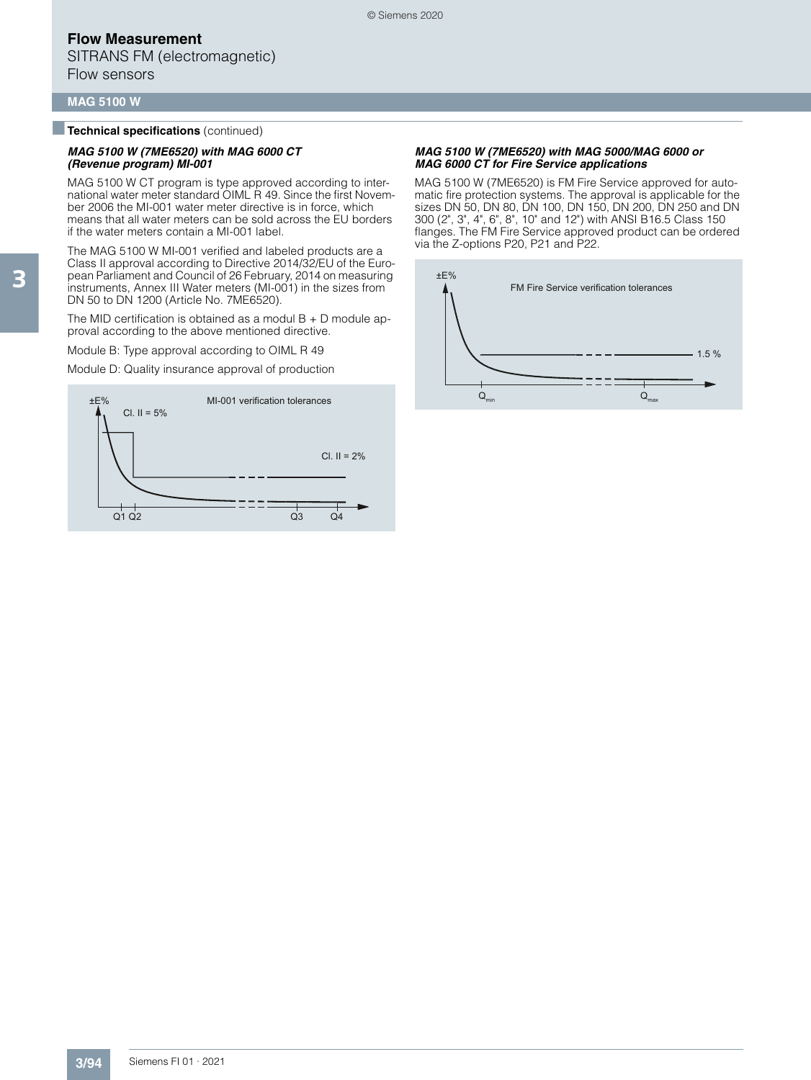SITRANS FM (electromagnetic) Flow sensors

#### **MAG 5100 W**

■**Technical specifications** (continued)

#### *MAG 5100 W (7ME6520) with MAG 6000 CT (Revenue program) MI-001*

MAG 5100 W CT program is type approved according to international water meter standard OIML R 49. Since the first November 2006 the MI-001 water meter directive is in force, which means that all water meters can be sold across the EU borders if the water meters contain a MI-001 label.

The MAG 5100 W MI-001 verified and labeled products are a Class II approval according to Directive 2014/32/EU of the European Parliament and Council of 26 February, 2014 on measuring instruments, Annex III Water meters (MI-001) in the sizes from DN 50 to DN 1200 (Article No. 7ME6520).

The MID certification is obtained as a modul  $B + D$  module approval according to the above mentioned directive.

Module B: Type approval according to OIML R 49

Module D: Quality insurance approval of production



#### *MAG 5100 W (7ME6520) with MAG 5000/MAG 6000 or MAG 6000 CT for Fire Service applications*

MAG 5100 W (7ME6520) is FM Fire Service approved for automatic fire protection systems. The approval is applicable for the sizes DN 50, DN 80, DN 100, DN 150, DN 200, DN 250 and DN 300 (2", 3", 4", 6", 8", 10" and 12") with ANSI B16.5 Class 150 flanges. The FM Fire Service approved product can be ordered via the Z-options P20, P21 and P22.

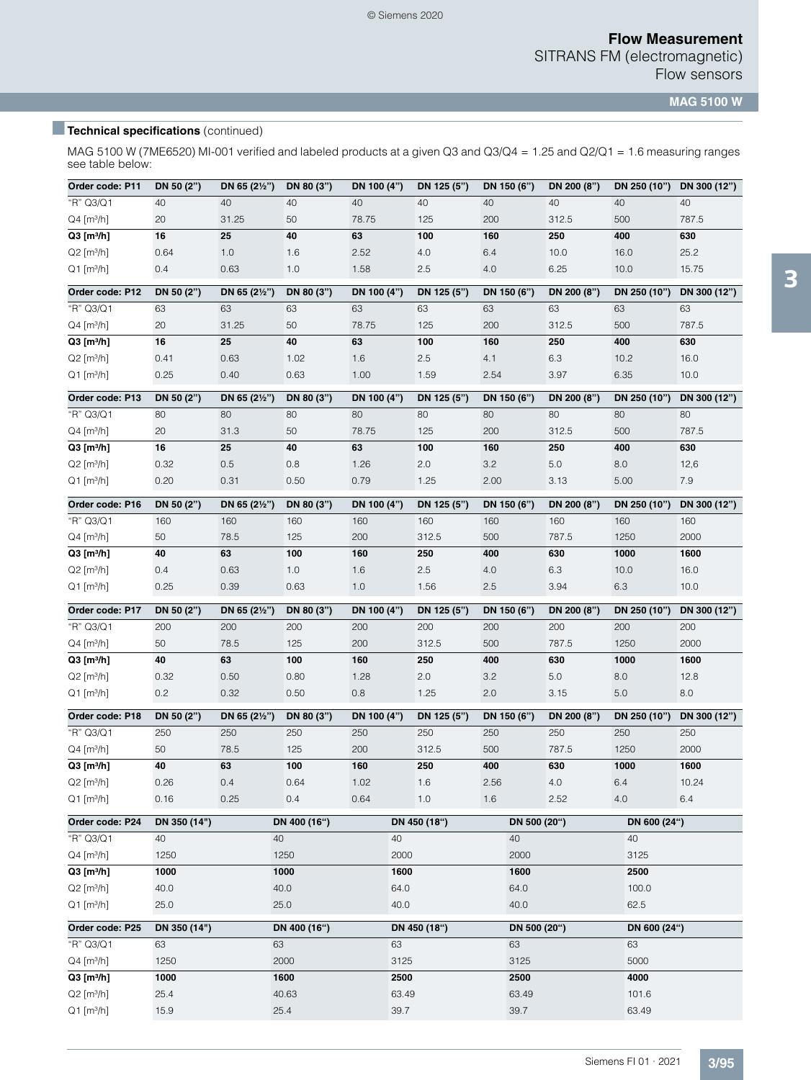**MAG 5100 W**

# **Technical specifications** (continued)

MAG 5100 W (7ME6520) MI-001 verified and labeled products at a given Q3 and Q3/Q4 = 1.25 and Q2/Q1 = 1.6 measuring ranges see table below:

| Order code: P11                                      | DN 50 (2")   | DN 65 (21/2") | DN 80 (3")    | DN 100 (4")   | DN 125 (5")  | DN 150 (6")   | DN 200 (8") | DN 250 (10")   | DN 300 (12") |  |
|------------------------------------------------------|--------------|---------------|---------------|---------------|--------------|---------------|-------------|----------------|--------------|--|
| "R" Q3/Q1                                            | 40           | 40            | 40            | 40            | 40           | 40            | 40          | 40             | 40           |  |
| $Q4$ [m <sup>3</sup> /h]                             | 20           | 31.25         | 50            | 78.75         | 125          | 200           | 312.5       | 500            | 787.5        |  |
| $Q3$ [m $^{3}/h$ ]                                   | 16           | 25            | 40            | 63            | 100          | 160           | 250         | 400            | 630          |  |
| $Q2$ [m <sup>3</sup> /h]                             | 0.64         | 1.0           | 1.6           | 2.52          | 4.0          | 6.4           | 10.0        | 16.0           | 25.2         |  |
| $Q1$ [m <sup>3</sup> /h]                             | 0.4          | 0.63          | 1.0           | 1.58          | 2.5          | 4.0           | 6.25        | 10.0           | 15.75        |  |
| Order code: P12                                      | DN 50 (2")   | DN 65 (21/2") | DN 80 (3")    | DN 100 (4")   | DN 125 (5")  | DN 150 (6")   | DN 200 (8") | DN 250 (10")   | DN 300 (12") |  |
| "R" Q3/Q1                                            | 63           | 63            | 63            | 63            | 63           | 63            | 63          | 63             | 63           |  |
| $Q4$ [m <sup>3</sup> /h]                             | 20           | 31.25         | 50            | 78.75         | 125          | 200           | 312.5       | 500            | 787.5        |  |
| $Q3$ [m <sup>3</sup> /h]                             | 16           | 25            | 40            | 63            | 100          | 160           | 250         | 400            | 630          |  |
| $Q2$ [m <sup>3</sup> /h]                             | 0.41         | 0.63          | 1.02          | 1.6           | 2.5          | 4.1           | 6.3         | 10.2           | 16.0         |  |
| $Q1$ [m <sup>3</sup> /h]                             | 0.25         | 0.40          | 0.63          | 1.00          | 1.59         | 2.54          | 3.97        | 6.35           | 10.0         |  |
| Order code: P13                                      | DN 50 (2")   | DN 65 (21/2") | DN 80 (3")    | DN 100 (4")   | DN 125 (5")  | DN 150 (6")   | DN 200 (8") | DN 250 (10")   | DN 300 (12") |  |
| "R" Q3/Q1                                            | 80           | 80            | 80            | 80            | 80           | 80            | 80          | 80             | 80           |  |
| $Q4$ [m <sup>3</sup> /h]                             | 20           | 31.3          | 50            | 78.75         | 125          | 200           | 312.5       | 500            | 787.5        |  |
| $Q3$ [m <sup>3</sup> /h]                             | 16           | 25            | 40            | 63            | 100          | 160           | 250         | 400            | 630          |  |
| $Q2$ [m <sup>3</sup> /h]                             | 0.32         | 0.5           | 0.8           | 1.26          | 2.0          | 3.2           | 5.0         | 8.0            | 12,6         |  |
| $Q1$ [m <sup>3</sup> /h]                             | 0.20         | 0.31          | 0.50          | 0.79          | 1.25         | 2.00          | 3.13        | 5.00           | 7.9          |  |
| Order code: P16                                      | DN 50 (2")   | DN 65 (21/2") | DN 80 (3")    | DN 100 (4")   | DN 125 (5")  | DN 150 (6")   | DN 200 (8") | DN 250 (10")   | DN 300 (12") |  |
| "R" Q3/Q1                                            | 160          | 160           | 160           | 160           | 160          | 160           | 160         | 160            | 160          |  |
| $Q4$ [m <sup>3</sup> /h]                             | 50           | 78.5          | 125           | 200           | 312.5        | 500           | 787.5       | 1250           | 2000         |  |
| $Q3$ [m <sup>3</sup> /h]                             | 40           | 63            | 100           | 160           | 250          | 400           | 630         | 1000           | 1600         |  |
| $Q2$ [m <sup>3</sup> /h]                             | 0.4          | 0.63          | 1.0           | 1.6           | 2.5          | 4.0           | 6.3         | 10.0           | 16.0         |  |
| $Q1$ [m <sup>3</sup> /h]                             | 0.25         | 0.39          | 0.63          | 1.0           | 1.56         | 2.5           | 3.94        | 6.3            | 10.0         |  |
|                                                      |              |               |               |               |              |               |             |                |              |  |
| Order code: P17                                      | DN 50 (2")   | DN 65 (21/2") | DN 80 (3")    | DN 100 (4")   | DN 125 (5")  | DN 150 (6")   | DN 200 (8") | DN 250 (10")   | DN 300 (12") |  |
| "R" Q3/Q1                                            | 200          | 200           | 200           | 200           | 200          | 200           | 200         | 200            | 200          |  |
| $Q4$ [m <sup>3</sup> /h]                             | 50           | 78.5          | 125           | 200           | 312.5        | 500           | 787.5       | 1250           | 2000         |  |
| $Q3$ [m <sup>3</sup> /h]                             | 40           | 63            | 100           | 160           | 250          | 400           | 630         | 1000           | 1600         |  |
| $Q2$ [m <sup>3</sup> /h]                             | 0.32         | 0.50          | 0.80          | 1.28          | 2.0          | 3.2           | 5.0         | 8.0            | 12.8         |  |
| $Q1$ [m <sup>3</sup> /h]                             | 0.2          | 0.32          | 0.50          | 0.8           | 1.25         | 2.0           | 3.15        | 5.0            | 8.0          |  |
| Order code: P18                                      | DN 50 (2")   | DN 65 (21/2") | DN 80 (3")    | DN 100 (4")   | DN 125 (5")  | DN 150 (6")   | DN 200 (8") | DN 250 (10")   | DN 300 (12") |  |
| "R" Q3/Q1                                            | 250          | 250           | 250           | 250           | 250          | 250           | 250         | 250            | 250          |  |
| $Q4$ [m <sup>3</sup> /h]                             | 50           | 78.5          | 125           | 200           | 312.5        | 500           | 787.5       | 1250           | 2000         |  |
| $Q3$ [m <sup>3</sup> /h]                             | 40           | 63            | 100           | 160           | 250          | 400           | 630         | 1000           | 1600         |  |
| $Q2$ [m <sup>3</sup> /h]                             | 0.26         | 0.4           | 0.64          | 1.02          | 1.6          | 2.56          | 4.0         | 6.4            | 10.24        |  |
| $Q1$ [m <sup>3</sup> /h]                             | 0.16         | 0.25          | 0.4           | 0.64          | 1.0          | 1.6           | 2.52        | 4.0            | 6.4          |  |
| Order code: P24                                      | DN 350 (14") |               | DN 400 (16")  |               | DN 450 (18") | DN 500 (20")  |             | DN 600 (24")   |              |  |
| "R" Q3/Q1                                            | 40           | 40            |               | 40            |              | 40            |             | 40             |              |  |
| $Q4$ [m <sup>3</sup> /h]                             | 1250         |               | 1250          | 2000          |              | 2000          |             | 3125           |              |  |
| $Q3$ [m <sup>3</sup> /h]                             | 1000         |               | 1000          | 1600          |              | 1600          |             | 2500           |              |  |
| $Q2$ [m <sup>3</sup> /h]                             | 40.0         |               | 40.0          | 64.0          |              | 64.0          |             | 100.0          |              |  |
| $Q1$ [m <sup>3</sup> /h]                             | 25.0         |               | 25.0          | 40.0          |              | 40.0          |             | 62.5           |              |  |
| Order code: P25                                      | DN 350 (14") |               | DN 400 (16")  |               | DN 450 (18") | DN 500 (20")  |             | DN 600 (24")   |              |  |
| "R" Q3/Q1                                            | 63           | 63            |               | 63            |              | 63            |             | 63             |              |  |
| $Q4$ [m <sup>3</sup> /h]                             | 1250         |               | 2000          | 3125          |              | 3125          |             | 5000           |              |  |
| $Q3$ [m <sup>3</sup> /h]                             | 1000         |               | 1600          | 2500          |              | 2500          |             | 4000           |              |  |
| $Q2$ [m <sup>3</sup> /h]<br>$Q1$ [m <sup>3</sup> /h] | 25.4<br>15.9 |               | 40.63<br>25.4 | 63.49<br>39.7 |              | 63.49<br>39.7 |             | 101.6<br>63.49 |              |  |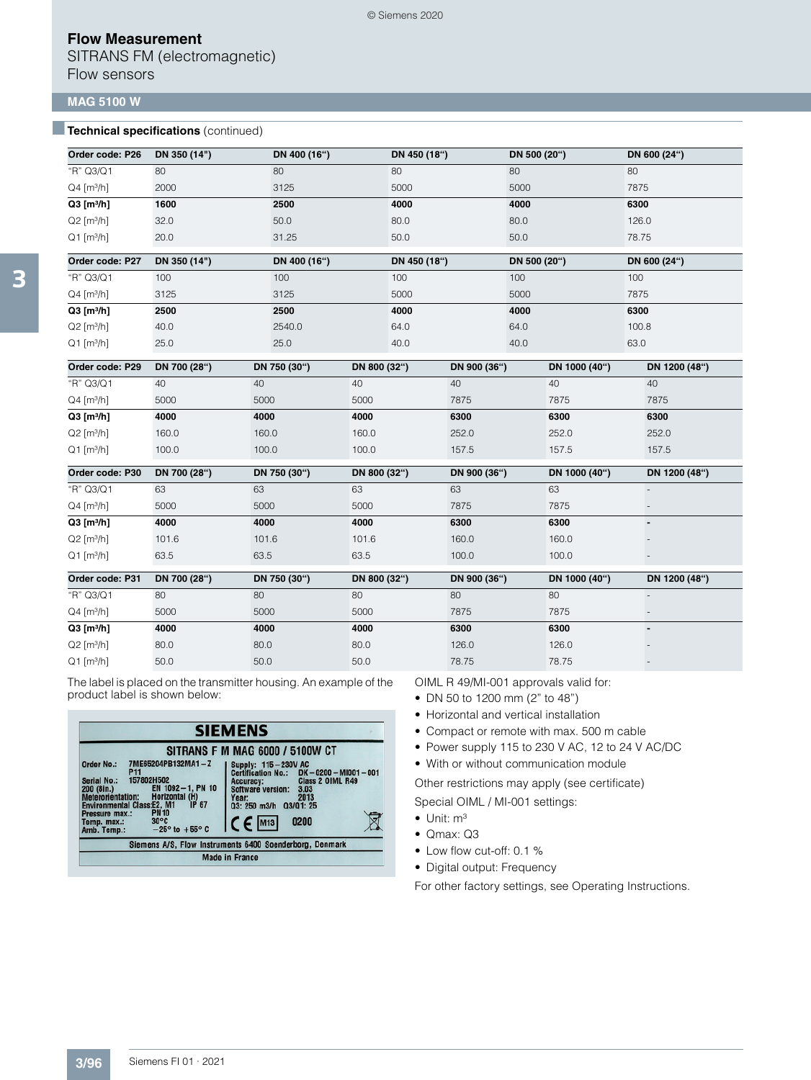SITRANS FM (electromagnetic) Flow sensors

### **MAG 5100 W**

### **Technical specifications** (continued)

| Order code: P26          | DN 350 (14") | DN 400 (16") | DN 450 (18") | DN 500 (20") | DN 600 (24") |
|--------------------------|--------------|--------------|--------------|--------------|--------------|
| "R" Q3/Q1                | 80           | 80           | 80           | 80           | 80           |
| $Q4$ [m <sup>3</sup> /h] | 2000         | 3125         | 5000         | 5000         | 7875         |
| $Q3$ [m <sup>3</sup> /h] | 1600         | 2500         | 4000         | 4000         | 6300         |
| $Q2$ [m <sup>3</sup> /h] | 32.0         | 50.0         | 80.0         | 80.0         | 126.0        |
| $Q1$ [m <sup>3</sup> /h] | 20.0         | 31.25        | 50.0         | 50.0         | 78.75        |
| Order code: P27          | DN 350 (14") | DN 400 (16") | DN 450 (18") | DN 500 (20") | DN 600 (24") |
| "R" Q3/Q1                | 100          | 100          | 100          | 100          | 100          |
| $Q4$ [m <sup>3</sup> /h] | 3125         | 3125         | 5000         | 5000         | 7875         |
| $Q3$ [m <sup>3</sup> /h] | 2500         | 2500         | 4000         | 4000         | 6300         |
| $Q2$ [m <sup>3</sup> /h] | 40.0         | 2540.0       | 64.0         | 64.0         | 100.8        |

© Siemens 2020

 $\rm Q1 \left[m^3/h\right]$  25.0 25.0 25.0 40.0 40.0 40.0 40.0 63.0

| Order code: P29          | DN 700 (28") | DN 750 (30") | DN 800 (32") | DN 900 (36") | DN 1000 (40") | DN 1200 (48")            |
|--------------------------|--------------|--------------|--------------|--------------|---------------|--------------------------|
| "R" Q3/Q1                | 40           | 40           | 40           | 40           | 40            | 40                       |
| $Q4$ [m <sup>3</sup> /h] | 5000         | 5000         | 5000         | 7875         | 7875          | 7875                     |
| $Q3$ [m <sup>3</sup> /h] | 4000         | 4000         | 4000         | 6300         | 6300          | 6300                     |
| $Q2$ [m <sup>3</sup> /h] | 160.0        | 160.0        | 160.0        | 252.0        | 252.0         | 252.0                    |
| $Q1$ [m <sup>3</sup> /h] | 100.0        | 100.0        | 100.0        | 157.5        | 157.5         | 157.5                    |
| Order code: P30          | DN 700 (28") | DN 750 (30") | DN 800 (32") | DN 900 (36") | DN 1000 (40") | DN 1200 (48")            |
| "R" Q3/Q1                | 63           | 63           | 63           | 63           | 63            |                          |
| $Q4$ [m <sup>3</sup> /h] | 5000         | 5000         | 5000         | 7875         | 7875          |                          |
| $Q3$ [m <sup>3</sup> /h] | 4000         | 4000         | 4000         | 6300         | 6300          |                          |
| $Q2$ [m <sup>3</sup> /h] | 101.6        | 101.6        | 101.6        | 160.0        | 160.0         |                          |
| $Q1$ [m <sup>3</sup> /h] | 63.5         | 63.5         | 63.5         | 100.0        | 100.0         |                          |
| Order code: P31          | DN 700 (28") | DN 750 (30") | DN 800 (32") | DN 900 (36") | DN 1000 (40") | DN 1200 (48")            |
| "R" Q3/Q1                | 80           | 80           | 80           | 80           | 80            | $\overline{\phantom{a}}$ |
| $Q4$ [m <sup>3</sup> /h] | 5000         | 5000         | 5000         | 7875         | 7875          |                          |
| $Q3$ [m <sup>3</sup> /h] | 4000         | 4000         | 4000         | 6300         | 6300          | $\blacksquare$           |
| $Q2$ [m <sup>3</sup> /h] | 80.0         | 80.0         | 80.0         | 126.0        | 126.0         |                          |
| $Q1$ [m <sup>3</sup> /h] | 50.0         | 50.0         | 50.0         | 78.75        | 78.75         | $\overline{\phantom{a}}$ |

The label is placed on the transmitter housing. An example of the product label is shown below:

|                                                                                                                                                                                                                                                                                                                       | <b>SIEMENS</b>                                                                                                                                                                                                                        |
|-----------------------------------------------------------------------------------------------------------------------------------------------------------------------------------------------------------------------------------------------------------------------------------------------------------------------|---------------------------------------------------------------------------------------------------------------------------------------------------------------------------------------------------------------------------------------|
| 7ME65204PB132MA1-Z<br>Order No.:<br>P <sub>11</sub><br>157802H502<br>Serial No.:<br>EN 1092-1, PN 10<br>200 (8in.)<br>Meterorientation: Horizontal (H)<br><b>Environmental Class:E2, M1</b><br>IP 67<br><b>PN10</b><br>Pressure max.:<br>$30^{\circ}$ C<br>Temp. max.:<br>$-25^\circ$ to $+55^\circ$ C<br>Amb. Temp.: | <b>SITRANS F M MAG 6000 / 5100W CT</b><br>Supply: 115-230V AC<br>Certification No.: DK-0200-MI001-001<br>Class 2 OIML R49<br>Accuracy:<br>Software version:<br>3.03<br>2013<br>Year:<br>03: 250 m3/h 03/01: 25<br>$C \in$ M13<br>0200 |
|                                                                                                                                                                                                                                                                                                                       | Siemens A/S. Flow Instruments 6400 Soenderborg, Denmark                                                                                                                                                                               |
|                                                                                                                                                                                                                                                                                                                       | <b>Made in France</b>                                                                                                                                                                                                                 |

OIML R 49/MI-001 approvals valid for:

- DN 50 to 1200 mm (2" to 48")
- Horizontal and vertical installation
- Compact or remote with max. 500 m cable
- Power supply 115 to 230 V AC, 12 to 24 V AC/DC

• With or without communication module

Other restrictions may apply (see certificate) Special OIML / MI-001 settings:

- $\bullet$  Unit:  $m^3$
- Qmax: Q3
- Low flow cut-off: 0.1 %
- Digital output: Frequency

For other factory settings, see Operating Instructions.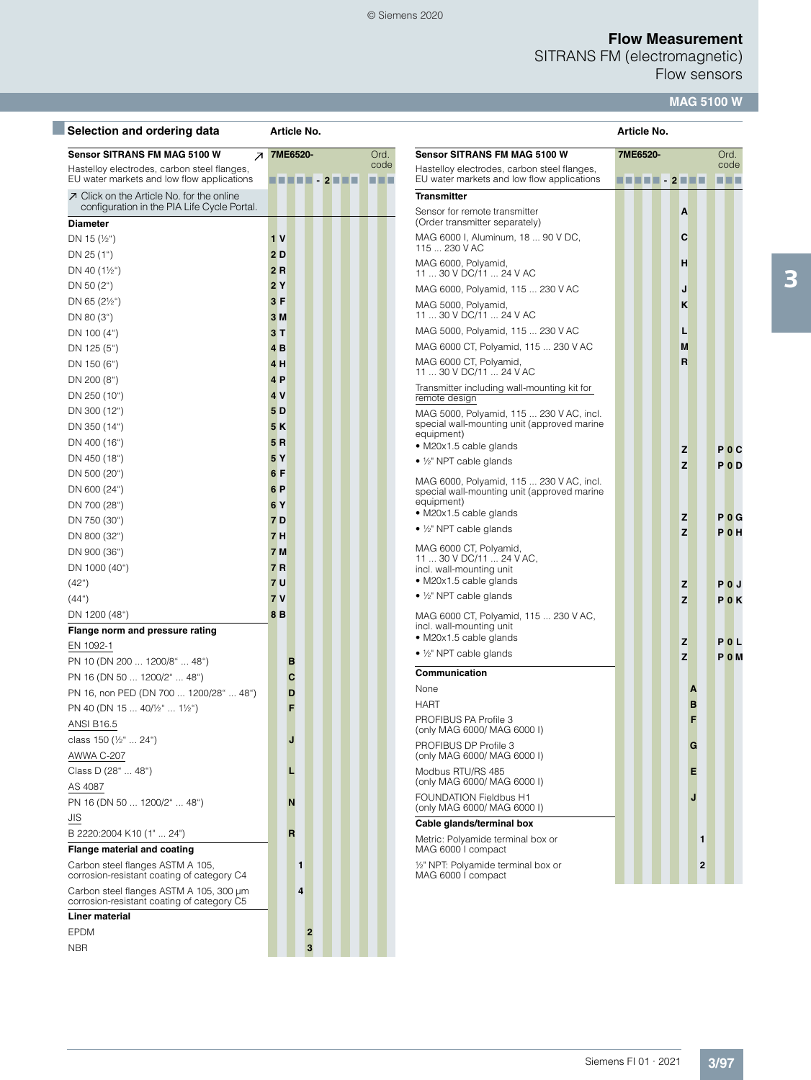SITRANS FM (electromagnetic)

Flow sensors

# **MAG 5100 W**

| Selection and ordering data                                                               | Article No.                                    | Article No.    |                                                                                           |          |
|-------------------------------------------------------------------------------------------|------------------------------------------------|----------------|-------------------------------------------------------------------------------------------|----------|
| <b>Sensor SITRANS FM MAG 5100 W</b><br>$\overline{\phantom{a}}$                           | 7ME6520-                                       | Ord.           | Sensor SITRANS FM MAG 5100 W                                                              | 7ME6520- |
| Hastelloy electrodes, carbon steel flanges,<br>EU water markets and low flow applications | $\blacksquare$ 2 $\blacksquare$ $\blacksquare$ | code<br>66 O O | Hastelloy electrodes, carbon steel flanges,<br>EU water markets and low flow applications | TH 11 .  |
| $\n  I Click on the Article No. for the online$                                           |                                                |                | <b>Transmitter</b>                                                                        |          |
| configuration in the PIA Life Cycle Portal.                                               |                                                |                | Sensor for remote transmitter                                                             |          |
| <b>Diameter</b>                                                                           |                                                |                | (Order transmitter separately)<br>MAG 6000 I, Aluminum, 18  90 V DC,                      |          |
| DN 15 $(\frac{1}{2})$                                                                     | 1 <sub>V</sub><br>2D                           |                | 115  230 V AC                                                                             |          |
| DN 25 (1")<br>DN 40 $(1\frac{1}{2})$                                                      | 2R                                             |                | MAG 6000, Polyamid,                                                                       |          |
| DN 50 $(2n)$                                                                              | 2Y                                             |                | 11  30 V DC/11  24 V AC                                                                   |          |
| DN 65 $(2\frac{1}{2})$                                                                    | 3F                                             |                | MAG 6000, Polyamid, 115  230 V AC<br>MAG 5000, Polyamid,                                  |          |
| DN 80 (3")                                                                                | 3 M                                            |                | 11  30 V DC/11  24 V AC                                                                   |          |
| DN 100 (4")                                                                               | 3T                                             |                | MAG 5000, Polyamid, 115  230 V AC                                                         |          |
| DN 125 (5")                                                                               | 4 <sub>B</sub>                                 |                | MAG 6000 CT, Polyamid, 115  230 V AC                                                      |          |
| DN 150 (6")                                                                               | 4 H                                            |                | MAG 6000 CT, Polyamid,                                                                    |          |
| DN 200 (8")                                                                               | 4P                                             |                | 11  30 V DC/11  24 V AC<br>Transmitter including wall-mounting kit for                    |          |
| DN 250 (10")                                                                              | 4V                                             |                | remote design                                                                             |          |
| DN 300 (12")                                                                              | 5D                                             |                | MAG 5000, Polyamid, 115  230 V AC, incl.                                                  |          |
| DN 350 (14")                                                                              | 5K                                             |                | special wall-mounting unit (approved marine<br>equipment)                                 |          |
| DN 400 (16")                                                                              | 5R                                             |                | · M20x1.5 cable glands                                                                    |          |
| DN 450 (18")                                                                              | 5Y                                             |                | • $\frac{1}{2}$ " NPT cable glands                                                        |          |
| DN 500 (20")                                                                              | 6 F                                            |                | MAG 6000, Polyamid, 115  230 V AC, incl.                                                  |          |
| DN 600 (24")                                                                              | 6 P                                            |                | special wall-mounting unit (approved marine<br>equipment)                                 |          |
| DN 700 (28")                                                                              | 6Y<br><b>7D</b>                                |                | • M20x1.5 cable glands                                                                    |          |
| DN 750 (30")                                                                              | 7H                                             |                | • $\frac{1}{2}$ " NPT cable glands                                                        |          |
| DN 800 (32")<br>DN 900 (36")                                                              | <b>7 M</b>                                     |                | MAG 6000 CT, Polyamid,                                                                    |          |
| DN 1000 (40")                                                                             | 7R                                             |                | 11  30 V DC/11  24 V AC,<br>incl. wall-mounting unit                                      |          |
| (42 <sup>°</sup> )                                                                        | <b>7U</b>                                      |                | • M20x1.5 cable glands                                                                    |          |
| (44 <sup>°</sup> )                                                                        | 7V                                             |                | • $\frac{1}{2}$ " NPT cable glands                                                        |          |
| DN 1200 (48")                                                                             | 8 <sub>B</sub>                                 |                | MAG 6000 CT, Polyamid, 115  230 V AC,                                                     |          |
| Flange norm and pressure rating                                                           |                                                |                | incl. wall-mounting unit                                                                  |          |
| EN 1092-1                                                                                 |                                                |                | • M20x1.5 cable glands<br>$\bullet$ 1/ <sub>2</sub> " NPT cable glands                    |          |
| PN 10 (DN 200  1200/8"  48")                                                              | В                                              |                |                                                                                           |          |
| PN 16 (DN 50  1200/2"  48")                                                               | C                                              |                | Communication                                                                             |          |
| PN 16, non PED (DN 700  1200/28"  48")                                                    | D                                              |                | None                                                                                      |          |
| PN 40 (DN 15  40/½"  1½")                                                                 | F                                              |                | HART<br>PROFIBUS PA Profile 3                                                             |          |
| <b>ANSI B16.5</b>                                                                         |                                                |                | (only MAG 6000/ MAG 6000 I)                                                               |          |
| class 150 (1/2"  24")                                                                     | J                                              |                | PROFIBUS DP Profile 3                                                                     |          |
| AWWA C-207<br>Class D (28"  48")                                                          |                                                |                | (only MAG 6000/ MAG 6000 I)                                                               |          |
| AS 4087                                                                                   | L                                              |                | Modbus RTU/RS 485<br>(only MAG 6000/ MAG 6000 I)                                          |          |
| PN 16 (DN 50  1200/2"  48")                                                               | N                                              |                | <b>FOUNDATION Fieldbus H1</b>                                                             |          |
| <b>JIS</b>                                                                                |                                                |                | (only MAG 6000/ MAG 6000 I)                                                               |          |
| B 2220:2004 K10 (1"  24")                                                                 | R                                              |                | Cable glands/terminal box                                                                 |          |
| Flange material and coating                                                               |                                                |                | Metric: Polyamide terminal box or<br>MAG 6000 I compact                                   |          |
| Carbon steel flanges ASTM A 105,<br>corrosion-resistant coating of category C4            | 1                                              |                | 1/2" NPT: Polyamide terminal box or<br>MAG 6000 I compact                                 |          |
| Carbon steel flanges ASTM A 105, 300 µm<br>corrosion-resistant coating of category C5     | 4                                              |                |                                                                                           |          |
| <b>Liner material</b>                                                                     |                                                |                |                                                                                           |          |
| <b>EPDM</b>                                                                               | 2                                              |                |                                                                                           |          |
| <b>NBR</b>                                                                                | 3                                              |                |                                                                                           |          |

| <b>Sensor SITRANS FM MAG 5100 W</b>                                                                                             | 7ME6520-                  |        |   |   | Ord.                        |                  |
|---------------------------------------------------------------------------------------------------------------------------------|---------------------------|--------|---|---|-----------------------------|------------------|
| Hastelloy electrodes, carbon steel flanges,<br>EU water markets and low flow applications                                       | <u> E E E E - 2 E E E</u> |        |   |   | code<br>88 B.D              |                  |
| <b>Transmitter</b>                                                                                                              |                           |        |   |   |                             |                  |
| Sensor for remote transmitter<br>(Order transmitter separately)                                                                 |                           | A      |   |   |                             |                  |
| MAG 6000 I, Aluminum, 18  90 V DC,<br>115  230 V AC                                                                             |                           | С      |   |   |                             |                  |
| MAG 6000, Polyamid,<br>11  30 V DC/11  24 V AC                                                                                  |                           | н      |   |   |                             |                  |
| MAG 6000, Polyamid, 115  230 V AC                                                                                               |                           | J      |   |   |                             |                  |
| MAG 5000, Polyamid,<br>11  30 V DC/11  24 V AC                                                                                  |                           | κ      |   |   |                             |                  |
| MAG 5000, Polyamid, 115  230 V AC                                                                                               |                           | L      |   |   |                             |                  |
| MAG 6000 CT, Polyamid, 115  230 V AC                                                                                            |                           | М      |   |   |                             |                  |
| MAG 6000 CT, Polyamid,<br>11  30 V DC/11  24 V AC                                                                               |                           | R      |   |   |                             |                  |
| Transmitter including wall-mounting kit for<br>remote design                                                                    |                           |        |   |   |                             |                  |
| MAG 5000, Polyamid, 115  230 V AC, incl.<br>special wall-mounting unit (approved marine<br>equipment)                           |                           |        |   |   |                             |                  |
| • M20x1.5 cable glands                                                                                                          |                           | z      |   |   | P <sub>0</sub> C            |                  |
| • $\frac{1}{2}$ " NPT cable glands                                                                                              |                           | Z      |   |   | P <sub>0</sub> <sub>D</sub> |                  |
| MAG 6000, Polyamid, 115  230 V AC, incl.<br>special wall-mounting unit (approved marine<br>equipment)<br>• M20x1.5 cable glands |                           |        |   |   |                             |                  |
| • 1/2" NPT cable glands                                                                                                         |                           | z      |   |   |                             | P 0 G            |
|                                                                                                                                 |                           | z      |   |   | P 0 H                       |                  |
| MAG 6000 CT, Polyamid,<br>11  30 V DC/11  24 V AC,<br>incl. wall-mounting unit<br>• M20x1.5 cable glands                        |                           |        |   |   |                             |                  |
| • $\frac{1}{2}$ " NPT cable glands                                                                                              |                           | z      |   |   | POJ                         |                  |
| MAG 6000 CT, Polyamid, 115  230 V AC,<br>incl. wall-mounting unit<br>• M20x1.5 cable glands                                     |                           | z<br>z |   |   | P 0 L                       | P <sub>0</sub> K |
| • 1/2" NPT cable glands                                                                                                         |                           | Z      |   |   |                             | P <sub>0</sub> M |
| Communication                                                                                                                   |                           |        |   |   |                             |                  |
| None                                                                                                                            |                           |        | Α |   |                             |                  |
| HART                                                                                                                            |                           |        | в |   |                             |                  |
| PROFIBUS PA Profile 3<br>(only MAG 6000/ MAG 6000 I)                                                                            |                           |        | F |   |                             |                  |
| PROFIBUS DP Profile 3<br>(only MAG 6000/ MAG 6000 I)                                                                            |                           |        | G |   |                             |                  |
| Modbus RTU/RS 485<br>(only MAG 6000/ MAG 6000 I)                                                                                |                           |        | Е |   |                             |                  |
| <b>FOUNDATION Fieldbus H1</b><br>(only MAG 6000/ MAG 6000 I)                                                                    |                           |        | J |   |                             |                  |
| Cable glands/terminal box                                                                                                       |                           |        |   |   |                             |                  |
| Metric: Polyamide terminal box or<br>MAG 6000 I compact                                                                         |                           |        |   | 1 |                             |                  |
| 1/2" NPT: Polyamide terminal box or<br>MAG 6000 I compact                                                                       |                           |        |   | 2 |                             |                  |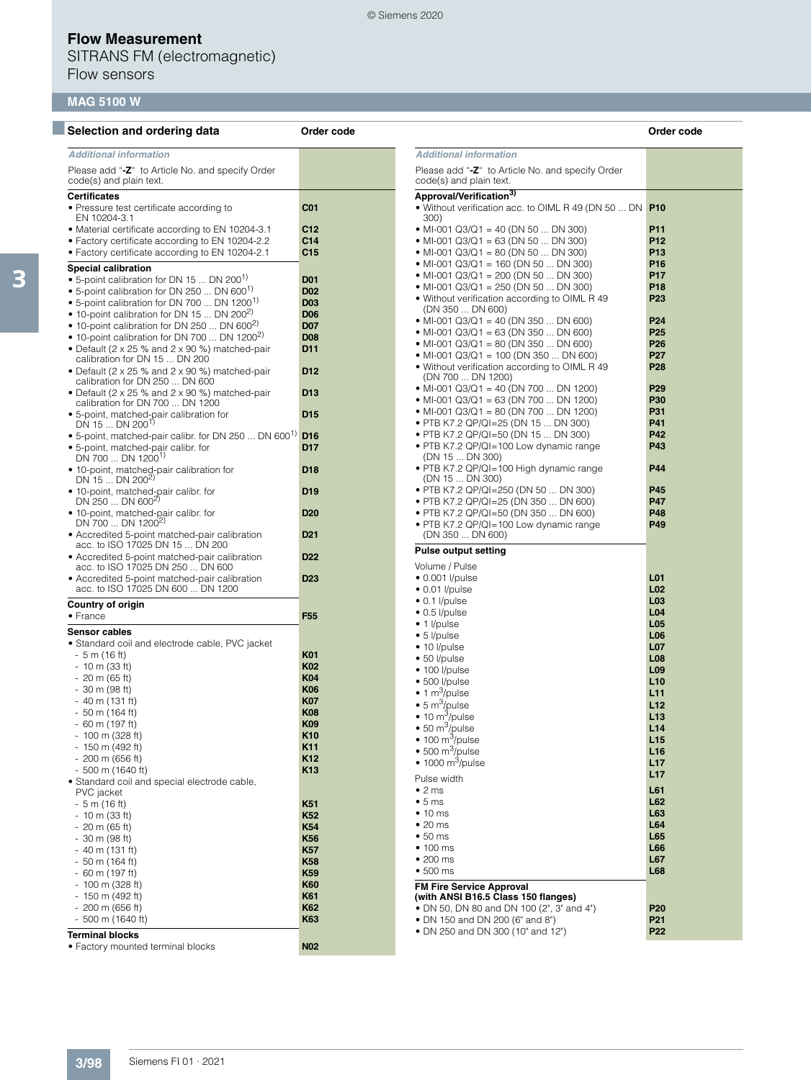SITRANS FM (electromagnetic) Flow sensors

# **MAG 5100 W**

| Selection and ordering data                                                       | Order code                    |                                                                             | Order code                         |
|-----------------------------------------------------------------------------------|-------------------------------|-----------------------------------------------------------------------------|------------------------------------|
| <b>Additional information</b>                                                     |                               | <b>Additional information</b>                                               |                                    |
| Please add "-Z" to Article No. and specify Order<br>code(s) and plain text.       |                               | Please add "-Z" to Article No. and specify Order<br>code(s) and plain text. |                                    |
| <b>Certificates</b>                                                               |                               | Approval/Verification <sup>3)</sup>                                         |                                    |
| • Pressure test certificate according to<br>EN 10204-3.1                          | C <sub>01</sub>               | • Without verification acc. to OIML R 49 (DN 50  DN P10<br>300)             |                                    |
| • Material certificate according to EN 10204-3.1                                  | C12                           | • MI-001 Q3/Q1 = 40 (DN 50  DN 300)                                         | P11                                |
| • Factory certificate according to EN 10204-2.2                                   | C <sub>14</sub>               | • MI-001 Q3/Q1 = 63 (DN 50  DN 300)                                         | P <sub>12</sub>                    |
| • Factory certificate according to EN 10204-2.1                                   | C15                           | • MI-001 Q3/Q1 = 80 (DN 50  DN 300)                                         | P <sub>13</sub>                    |
| <b>Special calibration</b>                                                        |                               | • MI-001 Q3/Q1 = 160 (DN 50  DN 300)                                        | P <sub>16</sub>                    |
| • 5-point calibration for DN 15  DN 200 <sup>1)</sup>                             | <b>D01</b>                    | • MI-001 Q3/Q1 = 200 (DN 50  DN 300)                                        | <b>P17</b>                         |
| • 5-point calibration for DN 250  DN 600 $^{1}$                                   | <b>D02</b>                    | • MI-001 Q3/Q1 = 250 (DN 50  DN 300)                                        | P <sub>18</sub><br>P <sub>23</sub> |
| • 5-point calibration for DN 700  DN 1200 <sup>1)</sup>                           | <b>D03</b>                    | • Without verification according to OIML R 49<br>(DN 350  DN 600)           |                                    |
| • 10-point calibration for DN 15  DN 200 <sup>2)</sup>                            | <b>D06</b>                    | • MI-001 Q3/Q1 = 40 (DN 350  DN 600)                                        | P <sub>24</sub>                    |
| • 10-point calibration for DN 250  DN 600 <sup>2)</sup>                           | <b>D07</b>                    | • MI-001 Q3/Q1 = 63 (DN 350  DN 600)                                        | P <sub>25</sub>                    |
| • 10-point calibration for DN 700  DN 1200 <sup>2)</sup>                          | <b>D08</b><br>D <sub>11</sub> | • MI-001 Q3/Q1 = 80 (DN 350  DN 600)                                        | P <sub>26</sub>                    |
| • Default (2 x 25 % and 2 x 90 %) matched-pair<br>calibration for DN 15  DN 200   |                               | • MI-001 Q3/Q1 = 100 (DN 350  DN 600)                                       | <b>P27</b>                         |
| • Default (2 x 25 % and 2 x 90 %) matched-pair<br>calibration for DN 250  DN 600  | D <sub>12</sub>               | • Without verification according to OIML R 49<br>(DN 700  DN 1200)          | <b>P28</b>                         |
| • Default (2 x 25 % and 2 x 90 %) matched-pair                                    | D <sub>13</sub>               | • MI-001 Q3/Q1 = 40 (DN 700  DN 1200)                                       | P <sub>29</sub>                    |
| calibration for DN 700  DN 1200                                                   |                               | • MI-001 Q3/Q1 = 63 (DN 700  DN 1200)                                       | P30                                |
| • 5-point, matched-pair calibration for                                           | D <sub>15</sub>               | • MI-001 Q3/Q1 = 80 (DN 700  DN 1200)                                       | P31                                |
| DN 15  DN 200 <sup>1)</sup>                                                       |                               | • PTB K7.2 QP/QI=25 (DN 15  DN 300)                                         | P41                                |
| • 5-point, matched-pair calibr. for DN 250  DN 600 <sup>1)</sup> D16              |                               | • PTB K7.2 QP/QI=50 (DN 15  DN 300)                                         | <b>P42</b>                         |
| • 5-point, matched-pair calibr. for<br>DN 700  DN 1200 <sup>1)</sup>              | D <sub>17</sub>               | • PTB K7.2 QP/QI=100 Low dynamic range<br>(DN 15  DN 300)                   | P43                                |
| · 10-point, matched-pair calibration for                                          | D <sub>18</sub>               | • PTB K7.2 QP/QI=100 High dynamic range                                     | P44                                |
| DN 15  DN 200 <sup>2)</sup>                                                       |                               | (DN 15  DN 300)<br>• PTB K7.2 QP/QI=250 (DN 50  DN 300)                     | P45                                |
| • 10-point, matched-pair calibr. for<br>DN 250  DN 600 <sup>2)</sup>              | D <sub>19</sub>               | • PTB K7.2 QP/QI=25 (DN 350  DN 600)                                        | <b>P47</b>                         |
| • 10-point, matched-pair calibr. for                                              | D <sub>20</sub>               | • PTB K7.2 QP/QI=50 (DN 350  DN 600)                                        | P48                                |
| DN 700  DN 1200 <sup>2)</sup><br>• Accredited 5-point matched-pair calibration    | D <sub>21</sub>               | • PTB K7.2 QP/QI=100 Low dynamic range<br>(DN 350  DN 600)                  | P49                                |
| acc. to ISO 17025 DN 15  DN 200                                                   | D <sub>22</sub>               | <b>Pulse output setting</b>                                                 |                                    |
| • Accredited 5-point matched-pair calibration<br>acc. to ISO 17025 DN 250  DN 600 |                               | Volume / Pulse                                                              |                                    |
| • Accredited 5-point matched-pair calibration                                     | D <sub>23</sub>               | $\bullet$ 0.001 l/pulse                                                     | L <sub>01</sub>                    |
| acc. to ISO 17025 DN 600  DN 1200                                                 |                               | $\bullet$ 0.01 l/pulse                                                      | L <sub>02</sub>                    |
| <b>Country of origin</b>                                                          |                               | $\bullet$ 0.1 l/pulse                                                       | L <sub>03</sub>                    |
| $\bullet$ France                                                                  | F <sub>55</sub>               | $\bullet$ 0.5 l/pulse                                                       | L <sub>04</sub>                    |
| <b>Sensor cables</b>                                                              |                               | $\bullet$ 1 <i>l</i> /pulse                                                 | L <sub>05</sub>                    |
| • Standard coil and electrode cable, PVC jacket                                   |                               | $\bullet$ 5 l/pulse                                                         | L <sub>06</sub>                    |
| - 5 m (16 ft)                                                                     | K01                           | $\bullet$ 10 l/pulse                                                        | <b>L07</b><br>L <sub>08</sub>      |
| $-10$ m (33 ft)                                                                   | K <sub>02</sub>               | • 50 l/pulse<br>$\bullet$ 100 l/pulse                                       | L <sub>09</sub>                    |
| $-20$ m (65 ft)                                                                   | <b>K04</b>                    | $\bullet$ 500 l/pulse                                                       | L10                                |
| - 30 m (98 ft)                                                                    | <b>K06</b>                    | $\bullet$ 1 m <sup>3</sup> /pulse                                           | L11                                |
| - 40 m (131 ft)                                                                   | <b>K07</b>                    | $\bullet$ 5 m <sup>3</sup> /pulse                                           | L12                                |
| - 50 m (164 ft)                                                                   | <b>K08</b>                    | $\bullet$ 10 m <sup>3</sup> /pulse                                          | L13                                |
| - 60 m (197 ft)                                                                   | <b>K09</b>                    | $\bullet$ 50 m <sup>3</sup> /pulse                                          | L14                                |
| - 100 m (328 ft)                                                                  | K10                           | $\bullet$ 100 m <sup>3</sup> /pulse                                         | L15                                |
| - 150 m (492 ft)                                                                  | K11<br>K <sub>12</sub>        | $\bullet$ 500 m <sup>3</sup> /pulse                                         | L16                                |
| $-200$ m (656 ft)<br>$-500$ m (1640 ft)                                           | K <sub>13</sub>               | $\bullet$ 1000 m <sup>3</sup> /pulse                                        | L17                                |
| · Standard coil and special electrode cable,                                      |                               | Pulse width                                                                 | L17                                |
| PVC jacket                                                                        |                               | $\bullet$ 2 ms                                                              | L61                                |
| $-5$ m (16 ft)                                                                    | K51                           | • 5 ms                                                                      | L62                                |
| $-10$ m (33 ft)                                                                   | K <sub>52</sub>               | $\bullet$ 10 ms                                                             | L63                                |
| $-20$ m (65 ft)                                                                   | <b>K54</b>                    | $\bullet$ 20 ms                                                             | L64<br>L65                         |
| $-30$ m (98 ft)                                                                   | K56                           | $\bullet$ 50 ms<br>$\bullet$ 100 ms                                         | L66                                |
| $-40$ m (131 ft)                                                                  | <b>K57</b>                    | $\bullet$ 200 ms                                                            | L67                                |
| $-50$ m (164 ft)<br>$-60$ m (197 ft)                                              | <b>K58</b><br><b>K59</b>      | $\bullet$ 500 ms                                                            | L68                                |
| $-100$ m (328 ft)                                                                 | <b>K60</b>                    |                                                                             |                                    |
| - 150 m (492 ft)                                                                  | <b>K61</b>                    | <b>FM Fire Service Approval</b><br>(with ANSI B16.5 Class 150 flanges)      |                                    |
| $-200$ m (656 ft)                                                                 | <b>K62</b>                    | • DN 50, DN 80 and DN 100 (2", 3" and 4")                                   | P <sub>20</sub>                    |
| $-500$ m (1640 ft)                                                                | K63                           | • DN 150 and DN 200 (6" and 8")                                             | P <sub>21</sub>                    |
| <b>Terminal blocks</b>                                                            |                               | • DN 250 and DN 300 (10" and 12")                                           | P <sub>22</sub>                    |
| • Factory mounted terminal blocks                                                 | <b>N02</b>                    |                                                                             |                                    |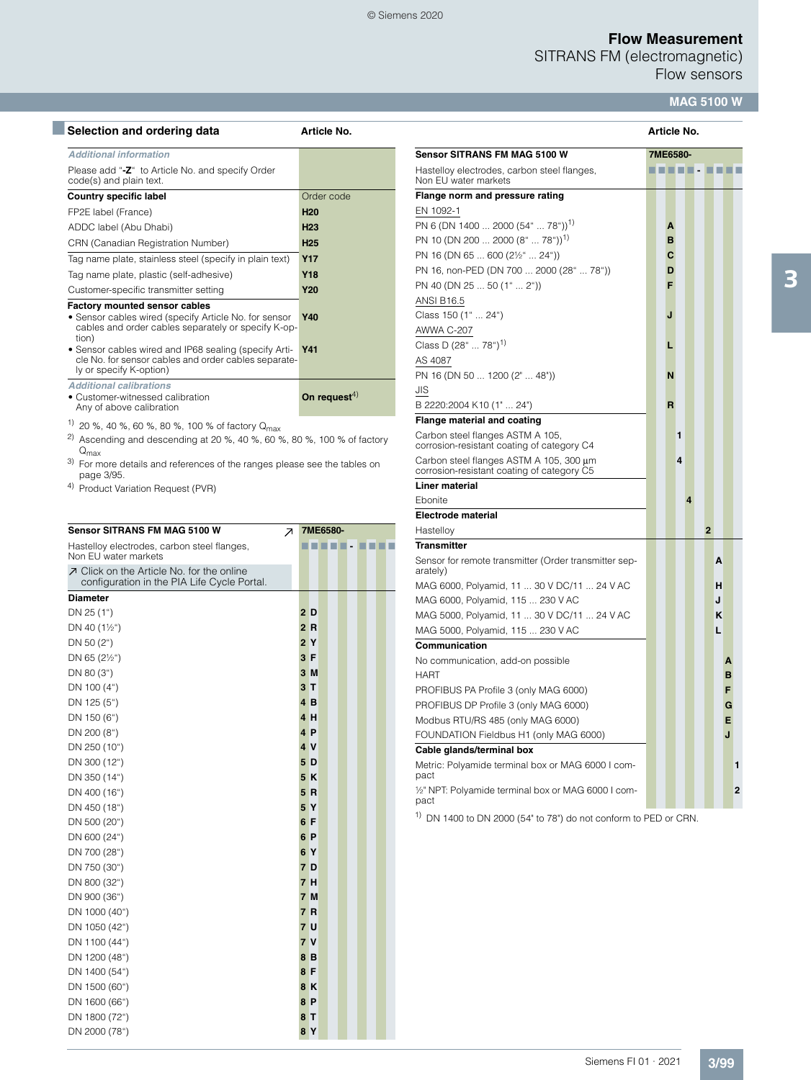SITRANS FM (electromagnetic)

Flow sensors

### **MAG 5100 W**

| Selection and ordering data                                                 | Article No.              |                                                                     | <b>Article No.</b> |
|-----------------------------------------------------------------------------|--------------------------|---------------------------------------------------------------------|--------------------|
| <b>Additional information</b>                                               |                          | <b>Sensor SITRANS FM MAG 5100 W</b>                                 | 7ME6580-           |
| Please add "-Z" to Article No. and specify Order<br>code(s) and plain text. |                          | Hastelloy electrodes, carbon steel flanges,<br>Non EU water markets |                    |
| <b>Country specific label</b>                                               | Order code               | Flange norm and pressure rating                                     |                    |
| FP2E label (France)                                                         | <b>H20</b>               | EN 1092-1                                                           |                    |
| ADDC label (Abu Dhabi)                                                      | H <sub>23</sub>          | PN 6 (DN 1400  2000 (54"  78")) <sup>1)</sup>                       | A                  |
| CRN (Canadian Registration Number)                                          | H <sub>25</sub>          | PN 10 (DN 200  2000 (8"  78")) <sup>1)</sup>                        | B                  |
| Tag name plate, stainless steel (specify in plain text)                     | <b>Y17</b>               | PN 16 (DN 65  600 (21/2"  24"))                                     | C                  |
| Tag name plate, plastic (self-adhesive)                                     | <b>Y18</b>               | PN 16, non-PED (DN 700  2000 (28"  78"))                            | D                  |
| Customer-specific transmitter setting                                       | <b>Y20</b>               | PN 40 (DN 25  50 (1"  2"))                                          | F                  |
| <b>Factory mounted sensor cables</b>                                        |                          | <b>ANSI B16.5</b>                                                   |                    |
| • Sensor cables wired (specify Article No. for sensor                       | <b>Y40</b>               | Class 150 (1"  24")                                                 |                    |
| cables and order cables separately or specify K-op-                         |                          | AWWA C-207                                                          |                    |
| tion)<br>• Sensor cables wired and IP68 sealing (specify Arti-              | <b>Y41</b>               | Class D $(28^{\circ} \dots 78^{\circ})^{1}$                         |                    |
| cle No. for sensor cables and order cables separate-                        |                          | AS 4087                                                             |                    |
| ly or specify K-option)                                                     |                          | PN 16 (DN 50  1200 (2"  48"))                                       | N                  |
| <b>Additional calibrations</b>                                              |                          | JIS                                                                 |                    |
| • Customer-witnessed calibration<br>Any of above calibration                | On request <sup>4)</sup> | B 2220:2004 K10 (1"  24")                                           | R                  |
| $1)$ 20 % 40 % 60 % 80 % 100 % of factory 0                                 |                          | Flange material and coating                                         |                    |

20 %, 40 %, 60 %, 80 %, 100 % of factory Q<sub>max</sub> 2) Ascending and descending at 20 %, 40 %, 60 %, 80 %, 100 % of factory

Q<sub>max</sub>

<sup>3)</sup> For more details and references of the ranges please see the tables on page 3/95.

4) Product Variation Request (PVR)

| <b>Sensor SITRANS FM MAG 5100 W</b><br>↗                                                 |                | 7ME6580- |  |  |  |
|------------------------------------------------------------------------------------------|----------------|----------|--|--|--|
| Hastelloy electrodes, carbon steel flanges,<br>Non EU water markets                      |                |          |  |  |  |
| フ Click on the Article No. for the online<br>configuration in the PIA Life Cycle Portal. |                |          |  |  |  |
| <b>Diameter</b>                                                                          |                |          |  |  |  |
| DN 25 (1")                                                                               | 2 D            |          |  |  |  |
| DN 40 $(1\frac{1}{2})$                                                                   | 2R             |          |  |  |  |
| DN 50 (2")                                                                               | 2 Y            |          |  |  |  |
| DN 65 (21/2")                                                                            | 3 F            |          |  |  |  |
| DN 80 (3")                                                                               | 3M             |          |  |  |  |
| DN 100 (4")                                                                              | 3T             |          |  |  |  |
| DN 125 (5")                                                                              | 4B             |          |  |  |  |
| DN 150 (6")                                                                              | 4 H            |          |  |  |  |
| DN 200 (8")                                                                              | 4 <sub>P</sub> |          |  |  |  |
| DN 250 (10")                                                                             | 4 V            |          |  |  |  |
| DN 300 (12")                                                                             | 5 D            |          |  |  |  |
| DN 350 (14")                                                                             | 5K             |          |  |  |  |
| DN 400 (16")                                                                             | 5R             |          |  |  |  |
| DN 450 (18")                                                                             | 5 <sup>Y</sup> |          |  |  |  |
| DN 500 (20")                                                                             | 6 F            |          |  |  |  |
| DN 600 (24")                                                                             | 6 P            |          |  |  |  |
| DN 700 (28")                                                                             | 6 Y            |          |  |  |  |
| DN 750 (30")                                                                             | 7 D            |          |  |  |  |
| DN 800 (32")                                                                             | 7 H            |          |  |  |  |
| DN 900 (36")                                                                             | 7 M            |          |  |  |  |
| DN 1000 (40")                                                                            | 7 R            |          |  |  |  |
| DN 1050 (42")                                                                            | 7 U            |          |  |  |  |
| DN 1100 (44")                                                                            | 7 V            |          |  |  |  |
| DN 1200 (48")                                                                            | 8 B            |          |  |  |  |
| DN 1400 (54")                                                                            | 8 F            |          |  |  |  |
| DN 1500 (60")                                                                            | 8K             |          |  |  |  |
| DN 1600 (66")                                                                            | 8P             |          |  |  |  |
| DN 1800 (72")                                                                            | 8 T            |          |  |  |  |
| DN 2000 (78")                                                                            | 8 Y            |          |  |  |  |

| <b>Sensor SITRANS FM MAG 5100 W</b>                                                   | 7ME6580- |   |   |   |                |            |   |                |
|---------------------------------------------------------------------------------------|----------|---|---|---|----------------|------------|---|----------------|
| Hastelloy electrodes, carbon steel flanges,<br>Non EU water markets                   |          |   |   |   |                | ---------- |   |                |
| Flange norm and pressure rating                                                       |          |   |   |   |                |            |   |                |
| EN 1092-1                                                                             |          |   |   |   |                |            |   |                |
| PN 6 (DN 1400  2000 (54"  78")) <sup>1)</sup>                                         |          | A |   |   |                |            |   |                |
| PN 10 (DN 200  2000 (8"  78")) <sup>1)</sup>                                          |          | B |   |   |                |            |   |                |
| PN 16 (DN 65  600 (2½"  24"))                                                         |          | C |   |   |                |            |   |                |
| PN 16, non-PED (DN 700  2000 (28"  78"))                                              |          | D |   |   |                |            |   |                |
| PN 40 (DN 25  50 (1"  2"))                                                            |          | F |   |   |                |            |   |                |
| <b>ANSI B16.5</b>                                                                     |          |   |   |   |                |            |   |                |
| Class 150 (1"  24")                                                                   |          | J |   |   |                |            |   |                |
| AWWA C-207                                                                            |          |   |   |   |                |            |   |                |
| Class D (28"  78") <sup>1)</sup>                                                      |          | L |   |   |                |            |   |                |
| AS 4087                                                                               |          |   |   |   |                |            |   |                |
| PN 16 (DN 50  1200 (2"  48"))                                                         |          | N |   |   |                |            |   |                |
| <b>JIS</b>                                                                            |          |   |   |   |                |            |   |                |
| B 2220:2004 K10 (1"  24")                                                             |          | R |   |   |                |            |   |                |
| <b>Flange material and coating</b>                                                    |          |   |   |   |                |            |   |                |
| Carbon steel flanges ASTM A 105,<br>corrosion-resistant coating of category C4        |          |   | 1 |   |                |            |   |                |
| Carbon steel flanges ASTM A 105, 300 µm<br>corrosion-resistant coating of category C5 |          |   | 4 |   |                |            |   |                |
| <b>Liner material</b>                                                                 |          |   |   |   |                |            |   |                |
| Ebonite                                                                               |          |   |   | 4 |                |            |   |                |
| <b>Electrode material</b>                                                             |          |   |   |   |                |            |   |                |
| Hastelloy                                                                             |          |   |   |   | $\overline{2}$ |            |   |                |
| <b>Transmitter</b>                                                                    |          |   |   |   |                |            |   |                |
| Sensor for remote transmitter (Order transmitter sep-<br>arately)                     |          |   |   |   |                | А          |   |                |
| MAG 6000, Polyamid, 11  30 V DC/11  24 V AC                                           |          |   |   |   |                | н          |   |                |
| MAG 6000, Polyamid, 115  230 V AC                                                     |          |   |   |   |                | J          |   |                |
| MAG 5000, Polyamid, 11  30 V DC/11  24 V AC                                           |          |   |   |   |                | ĸ          |   |                |
| MAG 5000, Polyamid, 115  230 V AC                                                     |          |   |   |   |                | L          |   |                |
| Communication                                                                         |          |   |   |   |                |            |   |                |
| No communication, add-on possible                                                     |          |   |   |   |                |            | A |                |
| <b>HART</b>                                                                           |          |   |   |   |                |            | в |                |
| PROFIBUS PA Profile 3 (only MAG 6000)                                                 |          |   |   |   |                |            | F |                |
| PROFIBUS DP Profile 3 (only MAG 6000)                                                 |          |   |   |   |                |            | G |                |
| Modbus RTU/RS 485 (only MAG 6000)                                                     |          |   |   |   |                |            | E |                |
| FOUNDATION Fieldbus H1 (only MAG 6000)                                                |          |   |   |   |                |            | J |                |
| Cable glands/terminal box                                                             |          |   |   |   |                |            |   |                |
| Metric: Polyamide terminal box or MAG 6000 I com-<br>pact                             |          |   |   |   |                |            |   | 1              |
| 1/2" NPT: Polyamide terminal box or MAG 6000 I com-<br>pact                           |          |   |   |   |                |            |   | $\overline{2}$ |

1) DN 1400 to DN 2000 (54" to 78") do not conform to PED or CRN.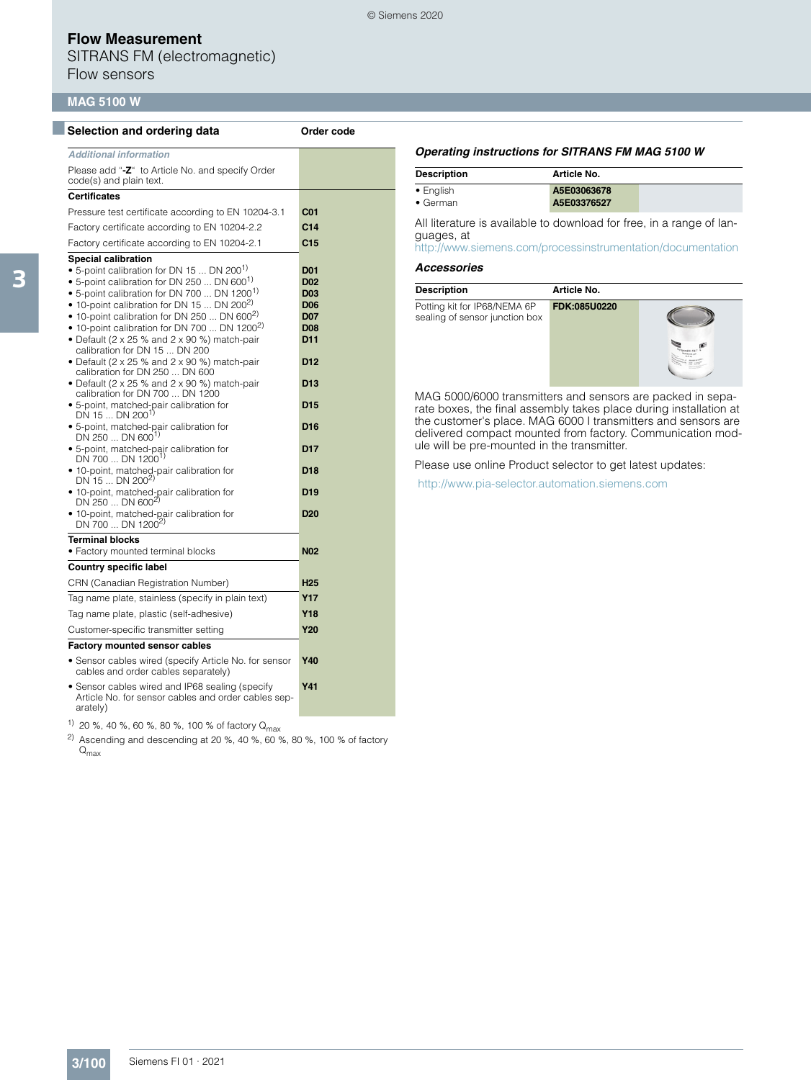SITRANS FM (electromagnetic) Flow sensors

### **MAG 5100 W**

| Selection and ordering data                                                                                                                                                                                                                                                                                                                                                                                                                                                                                                                                                                                                                                                                                                                                                                                                                                                                                                                                                                                                       | Order code                                                                                                                                                                                                                             |
|-----------------------------------------------------------------------------------------------------------------------------------------------------------------------------------------------------------------------------------------------------------------------------------------------------------------------------------------------------------------------------------------------------------------------------------------------------------------------------------------------------------------------------------------------------------------------------------------------------------------------------------------------------------------------------------------------------------------------------------------------------------------------------------------------------------------------------------------------------------------------------------------------------------------------------------------------------------------------------------------------------------------------------------|----------------------------------------------------------------------------------------------------------------------------------------------------------------------------------------------------------------------------------------|
| <b>Additional information</b>                                                                                                                                                                                                                                                                                                                                                                                                                                                                                                                                                                                                                                                                                                                                                                                                                                                                                                                                                                                                     |                                                                                                                                                                                                                                        |
| Please add "-Z" to Article No. and specify Order<br>code(s) and plain text.                                                                                                                                                                                                                                                                                                                                                                                                                                                                                                                                                                                                                                                                                                                                                                                                                                                                                                                                                       |                                                                                                                                                                                                                                        |
| <b>Certificates</b>                                                                                                                                                                                                                                                                                                                                                                                                                                                                                                                                                                                                                                                                                                                                                                                                                                                                                                                                                                                                               |                                                                                                                                                                                                                                        |
| Pressure test certificate according to EN 10204-3.1                                                                                                                                                                                                                                                                                                                                                                                                                                                                                                                                                                                                                                                                                                                                                                                                                                                                                                                                                                               | C <sub>01</sub>                                                                                                                                                                                                                        |
| Factory certificate according to EN 10204-2.2                                                                                                                                                                                                                                                                                                                                                                                                                                                                                                                                                                                                                                                                                                                                                                                                                                                                                                                                                                                     | C <sub>14</sub>                                                                                                                                                                                                                        |
| Factory certificate according to EN 10204-2.1                                                                                                                                                                                                                                                                                                                                                                                                                                                                                                                                                                                                                                                                                                                                                                                                                                                                                                                                                                                     | C15                                                                                                                                                                                                                                    |
| <b>Special calibration</b><br>• 5-point calibration for DN 15  DN 200 <sup>1)</sup><br>• 5-point calibration for DN 250  DN 600 <sup>1)</sup><br>• 5-point calibration for DN 700  DN 1200 <sup>1)</sup><br>• 10-point calibration for DN 15  DN 200 <sup>2)</sup><br>• 10-point calibration for DN 250  DN 600 <sup>2)</sup><br>• 10-point calibration for DN 700  DN 1200 <sup>2)</sup><br>• Default (2 x 25 % and 2 x 90 %) match-pair<br>calibration for DN 15  DN 200<br>• Default (2 x 25 % and 2 x 90 %) match-pair<br>calibration for DN 250  DN 600<br>• Default (2 x 25 % and 2 x 90 %) match-pair<br>calibration for DN 700  DN 1200<br>• 5-point, matched-pair calibration for<br>DN 15  DN 200 <sup>1)</sup><br>· 5-point, matched-pair calibration for<br>$DN$ 250  DN 600 <sup>1)</sup><br>· 5-point, matched-pair calibration for<br>DN 700  DN 1200 <sup>1)</sup><br>• 10-point, matched-pair calibration for<br>DN 15  DN $200^{2}$<br>· 10-point, matched-pair calibration for<br>DN 250  DN 600 <sup>2)</sup> | <b>D01</b><br>D <sub>02</sub><br>D <sub>03</sub><br><b>D06</b><br><b>D07</b><br><b>D08</b><br>D11<br>D <sub>12</sub><br>D <sub>13</sub><br>D <sub>15</sub><br>D <sub>16</sub><br>D <sub>17</sub><br>D <sub>18</sub><br>D <sub>19</sub> |
| • 10-point, matched-pair calibration for<br>DN 700  DN 1200 <sup>2)</sup>                                                                                                                                                                                                                                                                                                                                                                                                                                                                                                                                                                                                                                                                                                                                                                                                                                                                                                                                                         | D <sub>20</sub>                                                                                                                                                                                                                        |
| <b>Terminal blocks</b><br>• Factory mounted terminal blocks                                                                                                                                                                                                                                                                                                                                                                                                                                                                                                                                                                                                                                                                                                                                                                                                                                                                                                                                                                       | <b>N02</b>                                                                                                                                                                                                                             |
| <b>Country specific label</b>                                                                                                                                                                                                                                                                                                                                                                                                                                                                                                                                                                                                                                                                                                                                                                                                                                                                                                                                                                                                     |                                                                                                                                                                                                                                        |
| CRN (Canadian Registration Number)                                                                                                                                                                                                                                                                                                                                                                                                                                                                                                                                                                                                                                                                                                                                                                                                                                                                                                                                                                                                | <b>H25</b>                                                                                                                                                                                                                             |
| Tag name plate, stainless (specify in plain text)                                                                                                                                                                                                                                                                                                                                                                                                                                                                                                                                                                                                                                                                                                                                                                                                                                                                                                                                                                                 | Y17                                                                                                                                                                                                                                    |
| Tag name plate, plastic (self-adhesive)                                                                                                                                                                                                                                                                                                                                                                                                                                                                                                                                                                                                                                                                                                                                                                                                                                                                                                                                                                                           | Y18                                                                                                                                                                                                                                    |
| Customer-specific transmitter setting                                                                                                                                                                                                                                                                                                                                                                                                                                                                                                                                                                                                                                                                                                                                                                                                                                                                                                                                                                                             | <b>Y20</b>                                                                                                                                                                                                                             |
| Factory mounted sensor cables                                                                                                                                                                                                                                                                                                                                                                                                                                                                                                                                                                                                                                                                                                                                                                                                                                                                                                                                                                                                     |                                                                                                                                                                                                                                        |
| • Sensor cables wired (specify Article No. for sensor<br>cables and order cables separately)                                                                                                                                                                                                                                                                                                                                                                                                                                                                                                                                                                                                                                                                                                                                                                                                                                                                                                                                      | Y40                                                                                                                                                                                                                                    |
| • Sensor cables wired and IP68 sealing (specify<br>Article No. for sensor cables and order cables sep-<br>arately)                                                                                                                                                                                                                                                                                                                                                                                                                                                                                                                                                                                                                                                                                                                                                                                                                                                                                                                | Y41                                                                                                                                                                                                                                    |
| $1)$ an example $\sim$ and $\sim$ and $\sim$ 100 $\sim$ of footom of                                                                                                                                                                                                                                                                                                                                                                                                                                                                                                                                                                                                                                                                                                                                                                                                                                                                                                                                                              |                                                                                                                                                                                                                                        |

20 %, 40 %, 60 %, 80 %, 100 % of factory Q<sub>max</sub>

<sup>2)</sup> Ascending and descending at 20 %, 40 %, 60 %, 80 %, 100 % of factory  $Q_{\text{max}}$ 

#### *Operating instructions for SITRANS FM MAG 5100 W*

| <b>Description</b> | Article No. |  |
|--------------------|-------------|--|
| • English          | A5E03063678 |  |
| $\bullet$ German   | A5E03376527 |  |

All literature is available to download for free, in a range of languages, at

<http://www.siemens.com/processinstrumentation/documentation>

#### *Accessories*

© Siemens 2020

| <b>Description</b>                                             | Article No.  |  |
|----------------------------------------------------------------|--------------|--|
| Potting kit for IP68/NEMA 6P<br>sealing of sensor junction box | FDK:085U0220 |  |

MAG 5000/6000 transmitters and sensors are packed in separate boxes, the final assembly takes place during installation at the customer's place. MAG 6000 I transmitters and sensors are delivered compact mounted from factory. Communication module will be pre-mounted in the transmitter.

Please use online Product selector to get latest updates:

<http://www.pia-selector.automation.siemens.com>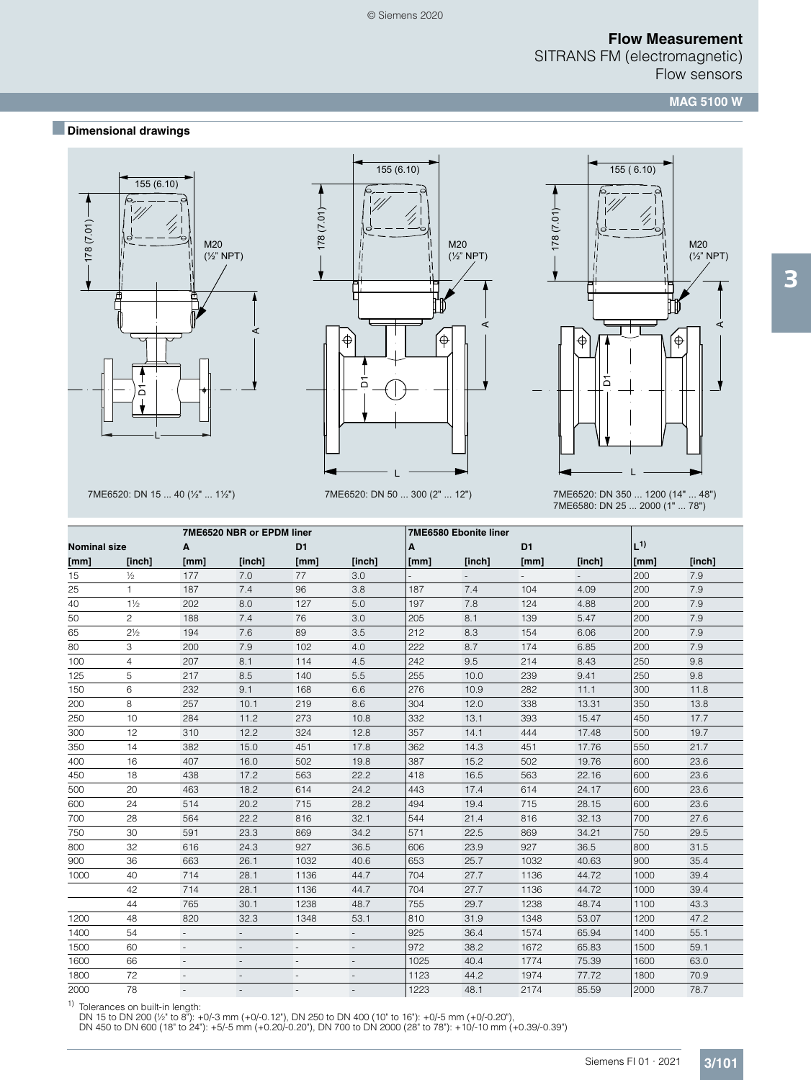**MAG 5100 W**

# ■**Dimensional drawings**





© Siemens 2020



7ME6520: DN 15 ... 40 (½" ... 1½") 7ME6520: DN 50 ... 300 (2" ... 12") 7ME6520: DN 350 ... 1200 (14" ... 48") 7ME6580: DN 25 ... 2000 (1" ... 78")

|                     |                |                          | 7ME6520 NBR or EPDM liner |                          |                          |      | 7ME6580 Ebonite liner |                |                |         |        |
|---------------------|----------------|--------------------------|---------------------------|--------------------------|--------------------------|------|-----------------------|----------------|----------------|---------|--------|
| <b>Nominal size</b> |                | A                        |                           | D <sub>1</sub>           |                          | A    |                       | D <sub>1</sub> |                | $L^{1}$ |        |
| [mm]                | [inch]         | [mm]                     | [inch]                    | [mm]                     | [inch]                   | [mm] | [inch]                | [mm]           | [inch]         | [mm]    | [inch] |
| 15                  | $1/2$          | 177                      | 7.0                       | 77                       | 3.0                      |      | $\sim$                |                | $\overline{a}$ | 200     | 7.9    |
| 25                  | $\mathbf{1}$   | 187                      | 7.4                       | 96                       | 3.8                      | 187  | 7.4                   | 104            | 4.09           | 200     | 7.9    |
| 40                  | $1\frac{1}{2}$ | 202                      | 8.0                       | 127                      | 5.0                      | 197  | 7.8                   | 124            | 4.88           | 200     | 7.9    |
| 50                  | $\overline{c}$ | 188                      | 7.4                       | 76                       | 3.0                      | 205  | 8.1                   | 139            | 5.47           | 200     | 7.9    |
| 65                  | $2\frac{1}{2}$ | 194                      | 7.6                       | 89                       | 3.5                      | 212  | 8.3                   | 154            | 6.06           | 200     | 7.9    |
| 80                  | 3              | 200                      | 7.9                       | 102                      | 4.0                      | 222  | 8.7                   | 174            | 6.85           | 200     | 7.9    |
| 100                 | $\overline{4}$ | 207                      | 8.1                       | 114                      | 4.5                      | 242  | 9.5                   | 214            | 8.43           | 250     | 9.8    |
| 125                 | 5              | 217                      | 8.5                       | 140                      | 5.5                      | 255  | 10.0                  | 239            | 9.41           | 250     | 9.8    |
| 150                 | 6              | 232                      | 9.1                       | 168                      | 6.6                      | 276  | 10.9                  | 282            | 11.1           | 300     | 11.8   |
| 200                 | 8              | 257                      | 10.1                      | 219                      | 8.6                      | 304  | 12.0                  | 338            | 13.31          | 350     | 13.8   |
| 250                 | 10             | 284                      | 11.2                      | 273                      | 10.8                     | 332  | 13.1                  | 393            | 15.47          | 450     | 17.7   |
| 300                 | 12             | 310                      | 12.2                      | 324                      | 12.8                     | 357  | 14.1                  | 444            | 17.48          | 500     | 19.7   |
| 350                 | 14             | 382                      | 15.0                      | 451                      | 17.8                     | 362  | 14.3                  | 451            | 17.76          | 550     | 21.7   |
| 400                 | 16             | 407                      | 16.0                      | 502                      | 19.8                     | 387  | 15.2                  | 502            | 19.76          | 600     | 23.6   |
| 450                 | 18             | 438                      | 17.2                      | 563                      | 22.2                     | 418  | 16.5                  | 563            | 22.16          | 600     | 23.6   |
| 500                 | 20             | 463                      | 18.2                      | 614                      | 24.2                     | 443  | 17.4                  | 614            | 24.17          | 600     | 23.6   |
| 600                 | 24             | 514                      | 20.2                      | 715                      | 28.2                     | 494  | 19.4                  | 715            | 28.15          | 600     | 23.6   |
| 700                 | 28             | 564                      | 22.2                      | 816                      | 32.1                     | 544  | 21.4                  | 816            | 32.13          | 700     | 27.6   |
| 750                 | 30             | 591                      | 23.3                      | 869                      | 34.2                     | 571  | 22.5                  | 869            | 34.21          | 750     | 29.5   |
| 800                 | 32             | 616                      | 24.3                      | 927                      | 36.5                     | 606  | 23.9                  | 927            | 36.5           | 800     | 31.5   |
| 900                 | 36             | 663                      | 26.1                      | 1032                     | 40.6                     | 653  | 25.7                  | 1032           | 40.63          | 900     | 35.4   |
| 1000                | 40             | 714                      | 28.1                      | 1136                     | 44.7                     | 704  | 27.7                  | 1136           | 44.72          | 1000    | 39.4   |
|                     | 42             | 714                      | 28.1                      | 1136                     | 44.7                     | 704  | 27.7                  | 1136           | 44.72          | 1000    | 39.4   |
|                     | 44             | 765                      | 30.1                      | 1238                     | 48.7                     | 755  | 29.7                  | 1238           | 48.74          | 1100    | 43.3   |
| 1200                | 48             | 820                      | 32.3                      | 1348                     | 53.1                     | 810  | 31.9                  | 1348           | 53.07          | 1200    | 47.2   |
| 1400                | 54             |                          |                           |                          |                          | 925  | 36.4                  | 1574           | 65.94          | 1400    | 55.1   |
| 1500                | 60             | $\overline{\phantom{a}}$ | $\overline{\phantom{a}}$  | $\overline{\phantom{a}}$ | $\overline{\phantom{a}}$ | 972  | 38.2                  | 1672           | 65.83          | 1500    | 59.1   |
| 1600                | 66             | $\overline{\phantom{a}}$ | $\overline{a}$            |                          | $\overline{\phantom{a}}$ | 1025 | 40.4                  | 1774           | 75.39          | 1600    | 63.0   |
| 1800                | 72             |                          |                           |                          |                          | 1123 | 44.2                  | 1974           | 77.72          | 1800    | 70.9   |
| 2000                | 78             |                          |                           |                          |                          | 1223 | 48.1                  | 2174           | 85.59          | 2000    | 78.7   |

1) Tolerances on built-in length:<br>DN 15 to DN 200 (½" to 8"): +0/-3 mm (+0/-0.12"), DN 250 to DN 400 (10" to 16"): +0/-5 mm (+0/-0.20"),<br>DN 450 to DN 600 (18" to 24"): +5/-5 mm (+0.20/-0.20"), DN 700 to DN 2000 (28" to 78"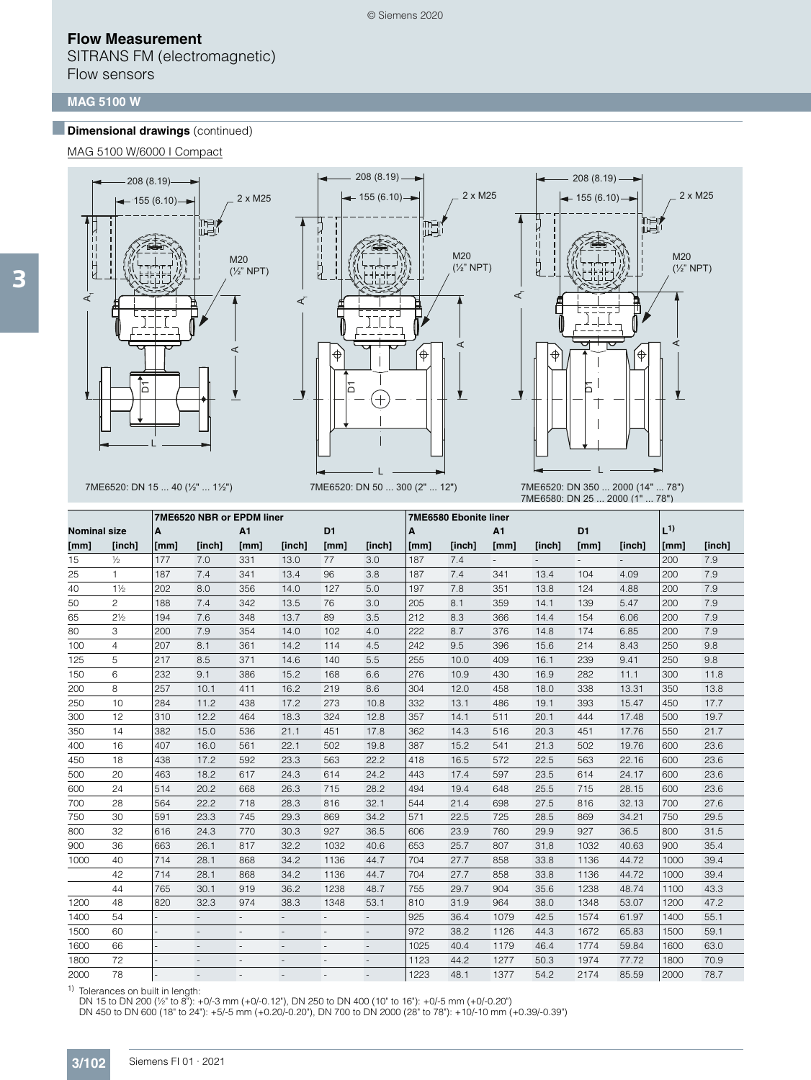SITRANS FM (electromagnetic) Flow sensors

#### **MAG 5100 W**

### **Dimensional drawings** (continued)

MAG 5100 W/6000 I Compact





208 (8.19)

- 11



7ME6520: DN 15 ... 40 (½" ... 1½") 7ME6520: DN 50 ... 300 (2" ... 12") 7ME6520: DN 350 ... 2000 (14" ... 78") 7ME6580: DN 25 ... 2000 (1" ... 78")

|                     |                | 7ME6520 NBR or EPDM liner |                          |                          |                          |                          |                          | 7ME6580 Ebonite liner |        |      |        |                |        |         |        |
|---------------------|----------------|---------------------------|--------------------------|--------------------------|--------------------------|--------------------------|--------------------------|-----------------------|--------|------|--------|----------------|--------|---------|--------|
| <b>Nominal size</b> |                | A                         |                          | A1                       |                          | D <sub>1</sub>           |                          | A                     |        | A1   |        | D <sub>1</sub> |        | $L^{1}$ |        |
| [mm]                | [inch]         | [mm]                      | [inch]                   | [mm]                     | [inch]                   | [mm]                     | [inch]                   | [mm]                  | [inch] | [mm] | [inch] | [mm]           | [inch] | [mm]    | [inch] |
| 15                  | $\frac{1}{2}$  | 177                       | 7.0                      | 331                      | 13.0                     | 77                       | 3.0                      | 187                   | 7.4    | ÷.   |        |                |        | 200     | 7.9    |
| 25                  | $\mathbf{1}$   | 187                       | 7.4                      | 341                      | 13.4                     | 96                       | 3.8                      | 187                   | 7.4    | 341  | 13.4   | 104            | 4.09   | 200     | 7.9    |
| 40                  | $1\frac{1}{2}$ | 202                       | 8.0                      | 356                      | 14.0                     | 127                      | 5.0                      | 197                   | 7.8    | 351  | 13.8   | 124            | 4.88   | 200     | 7.9    |
| 50                  | $\overline{c}$ | 188                       | 7.4                      | 342                      | 13.5                     | 76                       | 3.0                      | 205                   | 8.1    | 359  | 14.1   | 139            | 5.47   | 200     | 7.9    |
| 65                  | $2\frac{1}{2}$ | 194                       | 7.6                      | 348                      | 13.7                     | 89                       | 3.5                      | 212                   | 8.3    | 366  | 14.4   | 154            | 6.06   | 200     | 7.9    |
| 80                  | 3              | 200                       | 7.9                      | 354                      | 14.0                     | 102                      | 4.0                      | 222                   | 8.7    | 376  | 14.8   | 174            | 6.85   | 200     | 7.9    |
| 100                 | $\overline{4}$ | 207                       | 8.1                      | 361                      | 14.2                     | 114                      | 4.5                      | 242                   | 9.5    | 396  | 15.6   | 214            | 8.43   | 250     | 9.8    |
| 125                 | 5              | 217                       | 8.5                      | 371                      | 14.6                     | 140                      | 5.5                      | 255                   | 10.0   | 409  | 16.1   | 239            | 9.41   | 250     | 9.8    |
| 150                 | 6              | 232                       | 9.1                      | 386                      | 15.2                     | 168                      | 6.6                      | 276                   | 10.9   | 430  | 16.9   | 282            | 11.1   | 300     | 11.8   |
| 200                 | 8              | 257                       | 10.1                     | 411                      | 16.2                     | 219                      | 8.6                      | 304                   | 12.0   | 458  | 18.0   | 338            | 13.31  | 350     | 13.8   |
| 250                 | 10             | 284                       | 11.2                     | 438                      | 17.2                     | 273                      | 10.8                     | 332                   | 13.1   | 486  | 19.1   | 393            | 15.47  | 450     | 17.7   |
| 300                 | 12             | 310                       | 12.2                     | 464                      | 18.3                     | 324                      | 12.8                     | 357                   | 14.1   | 511  | 20.1   | 444            | 17.48  | 500     | 19.7   |
| 350                 | 14             | 382                       | 15.0                     | 536                      | 21.1                     | 451                      | 17.8                     | 362                   | 14.3   | 516  | 20.3   | 451            | 17.76  | 550     | 21.7   |
| 400                 | 16             | 407                       | 16.0                     | 561                      | 22.1                     | 502                      | 19.8                     | 387                   | 15.2   | 541  | 21.3   | 502            | 19.76  | 600     | 23.6   |
| 450                 | 18             | 438                       | 17.2                     | 592                      | 23.3                     | 563                      | 22.2                     | 418                   | 16.5   | 572  | 22.5   | 563            | 22.16  | 600     | 23.6   |
| 500                 | 20             | 463                       | 18.2                     | 617                      | 24.3                     | 614                      | 24.2                     | 443                   | 17.4   | 597  | 23.5   | 614            | 24.17  | 600     | 23.6   |
| 600                 | 24             | 514                       | 20.2                     | 668                      | 26.3                     | 715                      | 28.2                     | 494                   | 19.4   | 648  | 25.5   | 715            | 28.15  | 600     | 23.6   |
| 700                 | 28             | 564                       | 22.2                     | 718                      | 28.3                     | 816                      | 32.1                     | 544                   | 21.4   | 698  | 27.5   | 816            | 32.13  | 700     | 27.6   |
| 750                 | 30             | 591                       | 23.3                     | 745                      | 29.3                     | 869                      | 34.2                     | 571                   | 22.5   | 725  | 28.5   | 869            | 34.21  | 750     | 29.5   |
| 800                 | 32             | 616                       | 24.3                     | 770                      | 30.3                     | 927                      | 36.5                     | 606                   | 23.9   | 760  | 29.9   | 927            | 36.5   | 800     | 31.5   |
| 900                 | 36             | 663                       | 26.1                     | 817                      | 32.2                     | 1032                     | 40.6                     | 653                   | 25.7   | 807  | 31,8   | 1032           | 40.63  | 900     | 35.4   |
| 1000                | 40             | 714                       | 28.1                     | 868                      | 34.2                     | 1136                     | 44.7                     | 704                   | 27.7   | 858  | 33.8   | 1136           | 44.72  | 1000    | 39.4   |
|                     | 42             | 714                       | 28.1                     | 868                      | 34.2                     | 1136                     | 44.7                     | 704                   | 27.7   | 858  | 33.8   | 1136           | 44.72  | 1000    | 39.4   |
|                     | 44             | 765                       | 30.1                     | 919                      | 36.2                     | 1238                     | 48.7                     | 755                   | 29.7   | 904  | 35.6   | 1238           | 48.74  | 1100    | 43.3   |
| 1200                | 48             | 820                       | 32.3                     | 974                      | 38.3                     | 1348                     | 53.1                     | 810                   | 31.9   | 964  | 38.0   | 1348           | 53.07  | 1200    | 47.2   |
| 1400                | 54             |                           | $\overline{a}$           |                          | $\overline{\phantom{a}}$ | $\overline{\phantom{a}}$ | $\overline{a}$           | 925                   | 36.4   | 1079 | 42.5   | 1574           | 61.97  | 1400    | 55.1   |
| 1500                | 60             |                           | $\overline{a}$           | $\overline{a}$           | $\overline{\phantom{a}}$ | $\overline{\phantom{a}}$ | $\overline{\phantom{a}}$ | 972                   | 38.2   | 1126 | 44.3   | 1672           | 65.83  | 1500    | 59.1   |
| 1600                | 66             |                           | $\overline{\phantom{a}}$ | $\overline{\phantom{m}}$ | $\overline{\phantom{a}}$ | $\overline{\phantom{a}}$ | $\overline{\phantom{a}}$ | 1025                  | 40.4   | 1179 | 46.4   | 1774           | 59.84  | 1600    | 63.0   |
| 1800                | 72             |                           |                          |                          |                          |                          | $\overline{\phantom{a}}$ | 1123                  | 44.2   | 1277 | 50.3   | 1974           | 77.72  | 1800    | 70.9   |
| 2000                | 78             |                           |                          |                          |                          |                          | $\overline{\phantom{a}}$ | 1223                  | 48.1   | 1377 | 54.2   | 2174           | 85.59  | 2000    | 78.7   |
|                     |                |                           |                          |                          |                          |                          |                          |                       |        |      |        |                |        |         |        |

1) Tolerances on built in length:<br>DN 15 to DN 200 (½" to 8"): +0/-3 mm (+0/-0.12"), DN 250 to DN 400 (10" to 16"): +0/-5 mm (+0/-0.20")<br>DN 450 to DN 600 (18" to 24"): +5/-5 mm (+0.20/-0.20"), DN 700 to DN 2000 (28" to 78")